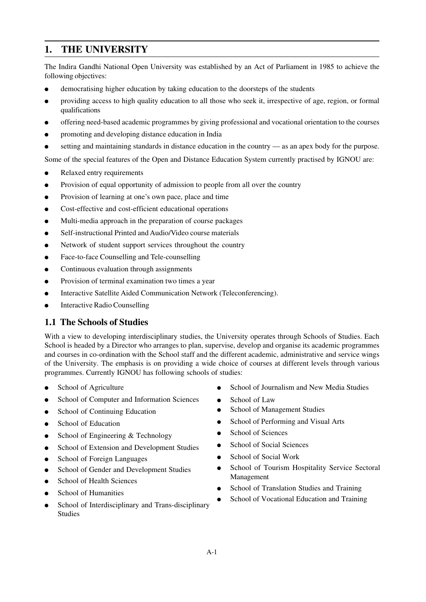# **1. THE UNIVERSITY**

The Indira Gandhi National Open University was established by an Act of Parliament in 1985 to achieve the following objectives:

- democratising higher education by taking education to the doorsteps of the students
- providing access to high quality education to all those who seek it, irrespective of age, region, or formal qualifications
- offering need-based academic programmes by giving professional and vocational orientation to the courses
- promoting and developing distance education in India
- setting and maintaining standards in distance education in the country as an apex body for the purpose.

Some of the special features of the Open and Distance Education System currently practised by IGNOU are:

- Relaxed entry requirements
- Provision of equal opportunity of admission to people from all over the country
- Provision of learning at one's own pace, place and time
- Cost-effective and cost-efficient educational operations
- Multi-media approach in the preparation of course packages
- Self-instructional Printed and Audio/Video course materials
- Network of student support services throughout the country
- Face-to-face Counselling and Tele-counselling
- Continuous evaluation through assignments
- Provision of terminal examination two times a year
- Interactive Satellite Aided Communication Network (Teleconferencing).
- **Interactive Radio Counselling**

# **1.1 The Schools of Studies**

With a view to developing interdisciplinary studies, the University operates through Schools of Studies. Each School is headed by a Director who arranges to plan, supervise, develop and organise its academic programmes and courses in co-ordination with the School staff and the different academic, administrative and service wings of the University. The emphasis is on providing a wide choice of courses at different levels through various programmes. Currently IGNOU has following schools of studies:

- School of Agriculture
- School of Computer and Information Sciences
- **School of Continuing Education**
- School of Education
- School of Engineering & Technology
- School of Extension and Development Studies
- School of Foreign Languages
- School of Gender and Development Studies
- School of Health Sciences
- School of Humanities
- School of Interdisciplinary and Trans-disciplinary Studies
- School of Journalism and New Media Studies
- School of Law
- School of Management Studies
- School of Performing and Visual Arts
- School of Sciences
- School of Social Sciences
- School of Social Work
- School of Tourism Hospitality Service Sectoral Management
- School of Translation Studies and Training
- School of Vocational Education and Training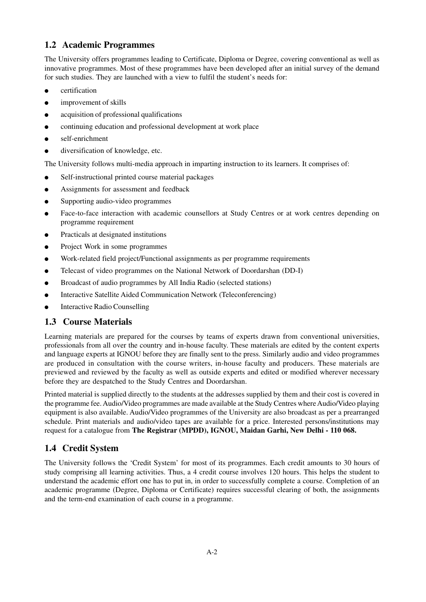# **1.2 Academic Programmes**

The University offers programmes leading to Certificate, Diploma or Degree, covering conventional as well as innovative programmes. Most of these programmes have been developed after an initial survey of the demand for such studies. They are launched with a view to fulfil the student's needs for:

- certification
- improvement of skills
- acquisition of professional qualifications
- continuing education and professional development at work place
- self-enrichment
- diversification of knowledge, etc.

The University follows multi-media approach in imparting instruction to its learners. It comprises of:

- Self-instructional printed course material packages
- Assignments for assessment and feedback
- Supporting audio-video programmes
- Face-to-face interaction with academic counsellors at Study Centres or at work centres depending on programme requirement
- Practicals at designated institutions
- Project Work in some programmes
- Work-related field project/Functional assignments as per programme requirements
- Telecast of video programmes on the National Network of Doordarshan (DD-I)
- Broadcast of audio programmes by All India Radio (selected stations)
- **Interactive Satellite Aided Communication Network (Teleconferencing)**
- **Interactive Radio Counselling**

# **1.3 Course Materials**

Learning materials are prepared for the courses by teams of experts drawn from conventional universities, professionals from all over the country and in-house faculty. These materials are edited by the content experts and language experts at IGNOU before they are finally sent to the press. Similarly audio and video programmes are produced in consultation with the course writers, in-house faculty and producers. These materials are previewed and reviewed by the faculty as well as outside experts and edited or modified wherever necessary before they are despatched to the Study Centres and Doordarshan.

Printed material is supplied directly to the students at the addresses supplied by them and their cost is covered in the programme fee. Audio/Video programmes are made available at the Study Centres where Audio/Video playing equipment is also available. Audio/Video programmes of the University are also broadcast as per a prearranged schedule. Print materials and audio/video tapes are available for a price. Interested persons/institutions may request for a catalogue from **The Registrar (MPDD), IGNOU, Maidan Garhi, New Delhi - 110 068.**

# **1.4 Credit System**

The University follows the 'Credit System' for most of its programmes. Each credit amounts to 30 hours of study comprising all learning activities. Thus, a 4 credit course involves 120 hours. This helps the student to understand the academic effort one has to put in, in order to successfully complete a course. Completion of an academic programme (Degree, Diploma or Certificate) requires successful clearing of both, the assignments and the term-end examination of each course in a programme.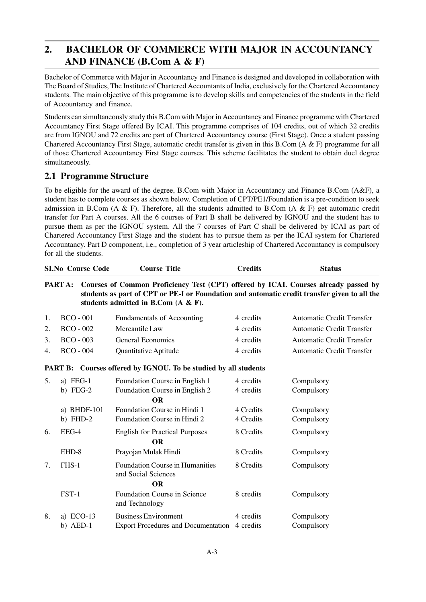# **2. BACHELOR OF COMMERCE WITH MAJOR IN ACCOUNTANCY AND FINANCE (B.Com A & F)**

Bachelor of Commerce with Major in Accountancy and Finance is designed and developed in collaboration with The Board of Studies, The Institute of Chartered Accountants of India, exclusively for the Chartered Accountancy students. The main objective of this programme is to develop skills and competencies of the students in the field of Accountancy and finance.

Students can simultaneously study this B.Com with Major in Accountancy and Finance programme with Chartered Accountancy First Stage offered By ICAI. This programme comprises of 104 credits, out of which 32 credits are from IGNOU and 72 credits are part of Chartered Accountancy course (First Stage). Once a student passing Chartered Accountancy First Stage, automatic credit transfer is given in this B.Com (A & F) programme for all of those Chartered Accountancy First Stage courses. This scheme facilitates the student to obtain duel degree simultaneously.

# **2.1 Programme Structure**

To be eligible for the award of the degree, B.Com with Major in Accountancy and Finance B.Com (A&F), a student has to complete courses as shown below. Completion of CPT/PE1/Foundation is a pre-condition to seek admission in B.Com (A & F). Therefore, all the students admitted to B.Com (A & F) get automatic credit transfer for Part A courses. All the 6 courses of Part B shall be delivered by IGNOU and the student has to pursue them as per the IGNOU system. All the 7 courses of Part C shall be delivered by ICAI as part of Chartered Accountancy First Stage and the student has to pursue them as per the ICAI system for Chartered Accountancy. Part D component, i.e., completion of 3 year articleship of Chartered Accountancy is compulsory for all the students.

|    | <b>SI.No Course Code</b> | <b>Course Title</b>                                                                                                                                                                                                        | <b>Credits</b> | <b>Status</b>                    |
|----|--------------------------|----------------------------------------------------------------------------------------------------------------------------------------------------------------------------------------------------------------------------|----------------|----------------------------------|
|    | PART A:                  | Courses of Common Proficiency Test (CPT) offered by ICAI. Courses already passed by<br>students as part of CPT or PE-I or Foundation and automatic credit transfer given to all the<br>students admitted in B.Com (A & F). |                |                                  |
| 1. | $BCO - 001$              | Fundamentals of Accounting                                                                                                                                                                                                 | 4 credits      | <b>Automatic Credit Transfer</b> |
| 2. | $BCO - 002$              | Mercantile Law                                                                                                                                                                                                             | 4 credits      | <b>Automatic Credit Transfer</b> |
| 3. | $BCO - 003$              | <b>General Economics</b>                                                                                                                                                                                                   | 4 credits      | <b>Automatic Credit Transfer</b> |
| 4. | $BCO - 004$              | <b>Quantitative Aptitude</b>                                                                                                                                                                                               | 4 credits      | <b>Automatic Credit Transfer</b> |
|    |                          | PART B: Courses offered by IGNOU. To be studied by all students                                                                                                                                                            |                |                                  |
| 5. | a) $FEG-1$               | Foundation Course in English 1                                                                                                                                                                                             | 4 credits      | Compulsory                       |
|    | b) $FEG-2$               | Foundation Course in English 2                                                                                                                                                                                             | 4 credits      | Compulsory                       |
|    |                          | <b>OR</b>                                                                                                                                                                                                                  |                |                                  |
|    | a) BHDF-101              | Foundation Course in Hindi 1                                                                                                                                                                                               | 4 Credits      | Compulsory                       |
|    | b) $FHD-2$               | Foundation Course in Hindi 2                                                                                                                                                                                               | 4 Credits      | Compulsory                       |
| 6. | EEG-4                    | <b>English for Practical Purposes</b>                                                                                                                                                                                      | 8 Credits      | Compulsory                       |
|    |                          | <b>OR</b>                                                                                                                                                                                                                  |                |                                  |
|    | EHD-8                    | Prayojan Mulak Hindi                                                                                                                                                                                                       | 8 Credits      | Compulsory                       |
| 7. | FHS-1                    | <b>Foundation Course in Humanities</b><br>and Social Sciences                                                                                                                                                              | 8 Credits      | Compulsory                       |
|    |                          | <b>OR</b>                                                                                                                                                                                                                  |                |                                  |
|    | $FST-1$                  | Foundation Course in Science<br>and Technology                                                                                                                                                                             | 8 credits      | Compulsory                       |
| 8. | a) ECO-13                | <b>Business Environment</b>                                                                                                                                                                                                | 4 credits      | Compulsory                       |
|    | $b)$ AED-1               | <b>Export Procedures and Documentation</b>                                                                                                                                                                                 | 4 credits      | Compulsory                       |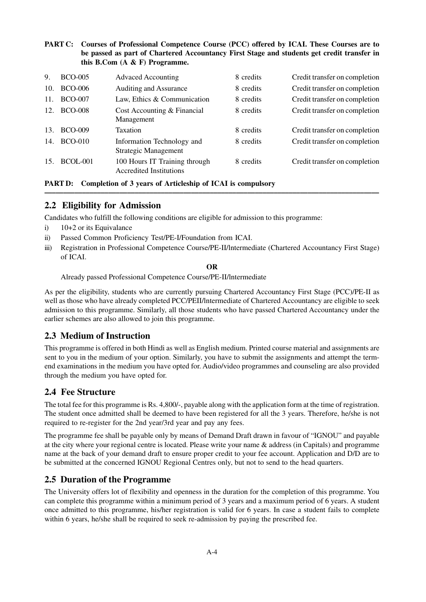### **PART C: Courses of Professional Competence Course (PCC) offered by ICAI. These Courses are to be passed as part of Chartered Accountancy First Stage and students get credit transfer in this B.Com (A & F) Programme.**

| 9.  | <b>BCO-005</b>  | <b>Advaced Accounting</b>                                       | 8 credits | Credit transfer on completion |
|-----|-----------------|-----------------------------------------------------------------|-----------|-------------------------------|
| 10. | <b>BCO-006</b>  | Auditing and Assurance                                          | 8 credits | Credit transfer on completion |
| 11. | <b>BCO-007</b>  | Law, Ethics & Communication                                     | 8 credits | Credit transfer on completion |
| 12. | <b>BCO-008</b>  | Cost Accounting & Financial<br>Management                       | 8 credits | Credit transfer on completion |
| 13. | <b>BCO-009</b>  | <b>Taxation</b>                                                 | 8 credits | Credit transfer on completion |
| 14. | <b>BCO-010</b>  | Information Technology and<br>Strategic Management              | 8 credits | Credit transfer on completion |
| 15. | <b>BCOL-001</b> | 100 Hours IT Training through<br><b>Accredited Institutions</b> | 8 credits | Credit transfer on completion |

### **PART D: Completion of 3 years of Articleship of ICAI is compulsory**

# **2.2 Eligibility for Admission**

Candidates who fulfill the following conditions are eligible for admission to this programme:

- i) 10+2 or its Equivalance
- ii) Passed Common Proficiency Test/PE-I/Foundation from ICAI.
- iii) Registration in Professional Competence Course/PE-II/lntermediate (Chartered Accountancy First Stage) of ICAI.

**–––––––––––––––––––––––––––––––––––––––––––––––––––––––––––––––––––––––––––––––––––––––––**

**OR**

Already passed Professional Competence Course/PE-II/lntermediate

As per the eligibility, students who are currently pursuing Chartered Accountancy First Stage (PCC)/PE-II as well as those who have already completed PCC/PEII/lntermediate of Chartered Accountancy are eligible to seek admission to this programme. Similarly, all those students who have passed Chartered Accountancy under the earlier schemes are also allowed to join this programme.

# **2.3 Medium of Instruction**

This programme is offered in both Hindi as well as English medium. Printed course material and assignments are sent to you in the medium of your option. Similarly, you have to submit the assignments and attempt the termend examinations in the medium you have opted for. Audio/video programmes and counseling are also provided through the medium you have opted for.

# **2.4 Fee Structure**

The total fee for this programme is Rs. 4,800/-, payable along with the application form at the time of registration. The student once admitted shall be deemed to have been registered for all the 3 years. Therefore, he/she is not required to re-register for the 2nd year/3rd year and pay any fees.

The programme fee shall be payable only by means of Demand Draft drawn in favour of "IGNOU" and payable at the city where your regional centre is located. Please write your name & address (in Capitals) and programme name at the back of your demand draft to ensure proper credit to your fee account. Application and D/D are to be submitted at the concerned IGNOU Regional Centres only, but not to send to the head quarters.

# **2.5 Duration of the Programme**

The University offers lot of flexibility and openness in the duration for the completion of this programme. You can complete this programme within a minimum period of 3 years and a maximum period of 6 years. A student once admitted to this programme, his/her registration is valid for 6 years. In case a student fails to complete within 6 years, he/she shall be required to seek re-admission by paying the prescribed fee.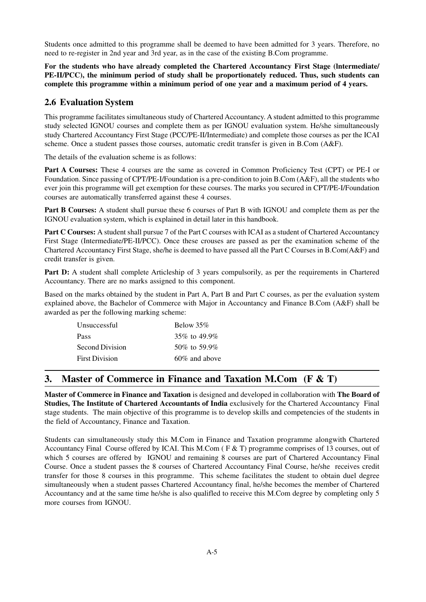Students once admitted to this programme shall be deemed to have been admitted for 3 years. Therefore, no need to re-register in 2nd year and 3rd year, as in the case of the existing B.Com programme.

**For the students who have already completed the Chartered Accountancy First Stage (lntermediate/ PE-II/PCC), the minimum period of study shall be proportionately reduced. Thus, such students can complete this programme within a minimum period of one year and a maximum period of 4 years.**

# **2.6 Evaluation System**

This programme facilitates simultaneous study of Chartered Accountancy. A student admitted to this programme study selected IGNOU courses and complete them as per IGNOU evaluation system. He/she simultaneously study Chartered Accountancy First Stage (PCC/PE-II/Intermediate) and complete those courses as per the ICAI scheme. Once a student passes those courses, automatic credit transfer is given in B.Com (A&F).

The details of the evaluation scheme is as follows:

**Part A Courses:** These 4 courses are the same as covered in Common Proficiency Test (CPT) or PE-I or Foundation. Since passing of CPT/PE-I/Foundation is a pre-condition to join B.Com (A&F), all the students who ever join this programme will get exemption for these courses. The marks you secured in CPT/PE-I/Foundation courses are automatically transferred against these 4 courses.

**Part B Courses:** A student shall pursue these 6 courses of Part B with IGNOU and complete them as per the IGNOU evaluation system, which is explained in detail later in this handbook.

**Part C Courses:** A student shall pursue 7 of the Part C courses with ICAI as a student of Chartered Accountancy First Stage (Intermediate/PE-II/PCC). Once these crouses are passed as per the examination scheme of the Chartered Accountancy First Stage, she/he is deemed to have passed all the Part C Courses in B.Com(A&F) and credit transfer is given.

**Part D:** A student shall complete Articleship of 3 years compulsorily, as per the requirements in Chartered Accountancy. There are no marks assigned to this component.

Based on the marks obtained by the student in Part A, Part B and Part C courses, as per the evaluation system explained above, the Bachelor of Commerce with Major in Accountancy and Finance B.Com (A&F) shall be awarded as per the following marking scheme:

| <b>Unsuccessful</b>   | Below 35%        |
|-----------------------|------------------|
| Pass                  | 35\% to 49.9\%   |
| Second Division       | 50\% to 59.9\%   |
| <b>First Division</b> | $60\%$ and above |

# **3. Master of Commerce in Finance and Taxation M.Com (F & T)**

**Master of Commerce in Finance and Taxation** is designed and developed in collaboration with **The Board of Studies, The Institute of Chartered Accountants of India** exclusively for the Chartered Accountancy Final stage students. The main objective of this programme is to develop skills and competencies of the students in the field of Accountancy, Finance and Taxation.

Students can simultaneously study this M.Com in Finance and Taxation programme alongwith Chartered Accountancy Final Course offered by ICAI. This M.Com ( F & T) programme comprises of 13 courses, out of which 5 courses are offered by IGNOU and remaining 8 courses are part of Chartered Accountancy Final Course. Once a student passes the 8 courses of Chartered Accountancy Final Course, he/she receives credit transfer for those 8 courses in this programme. This scheme facilitates the student to obtain duel degree simultaneously when a student passes Chartered Accountancy final, he/she becomes the member of Chartered Accountancy and at the same time he/she is also qualifled to receive this M.Com degree by completing only 5 more courses from IGNOU.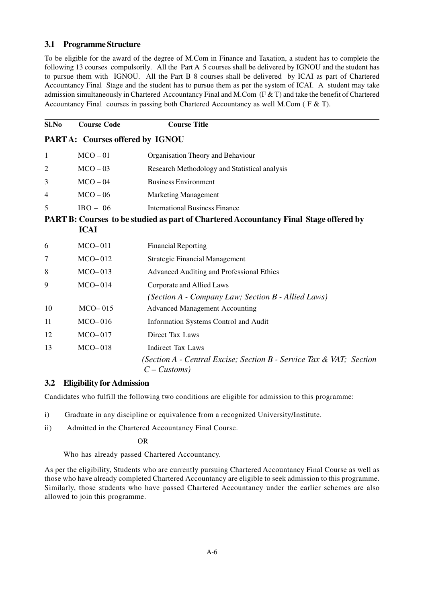### **3.1 Programme Structure**

To be eligible for the award of the degree of M.Com in Finance and Taxation, a student has to complete the following 13 courses compulsorily. All the Part A 5 courses shall be delivered by IGNOU and the student has to pursue them with IGNOU. All the Part B 8 courses shall be delivered by ICAI as part of Chartered Accountancy Final Stage and the student has to pursue them as per the system of ICAI. A student may take admission simultaneously in Chartered Accountancy Final and M.Com (F & T) and take the benefit of Chartered Accountancy Final courses in passing both Chartered Accountancy as well M.Com ( F & T).

| Sl.No                           | <b>Course Code</b> | <b>Course Title</b>                                                                          |  |
|---------------------------------|--------------------|----------------------------------------------------------------------------------------------|--|
| PARTA: Courses offered by IGNOU |                    |                                                                                              |  |
| 1                               | $MCO - 01$         | Organisation Theory and Behaviour                                                            |  |
| $\overline{2}$                  | $MCO - 03$         | Research Methodology and Statistical analysis                                                |  |
| 3                               | $MCO - 04$         | <b>Business Environment</b>                                                                  |  |
| 4                               | $MCO - 06$         | <b>Marketing Management</b>                                                                  |  |
| 5                               | $IBO - 06$         | <b>International Business Finance</b>                                                        |  |
|                                 |                    | <b>PART B: Courses to be studied as part of Chartered Accountancy Final Stage offered by</b> |  |
|                                 | <b>ICAI</b>        |                                                                                              |  |
| 6                               | $MCO-011$          | <b>Financial Reporting</b>                                                                   |  |
| 7                               | $MCO-012$          | <b>Strategic Financial Management</b>                                                        |  |
| 8                               | $MCO-013$          | Advanced Auditing and Professional Ethics                                                    |  |
| 9                               | $MCO-014$          | Corporate and Allied Laws                                                                    |  |
|                                 |                    | (Section A - Company Law; Section B - Allied Laws)                                           |  |
| 10                              | $MCO-015$          | <b>Advanced Management Accounting</b>                                                        |  |
| 11                              | $MCO-016$          | Information Systems Control and Audit                                                        |  |
| 12                              | $MCO-017$          | <b>Direct Tax Laws</b>                                                                       |  |
| 13                              | $MCO-018$          | <b>Indirect Tax Laws</b>                                                                     |  |
|                                 |                    | (Section A - Central Excise; Section B - Service Tax & VAT; Section<br>$C$ – Customs)        |  |

### **3.2 Eligibility for Admission**

Candidates who fulfill the following two conditions are eligible for admission to this programme:

- i) Graduate in any discipline or equivalence from a recognized University/Institute.
- ii) Admitted in the Chartered Accountancy Final Course.

### **OR** OR

Who has already passed Chartered Accountancy.

As per the eligibility, Students who are currently pursuing Chartered Accountancy Final Course as well as those who have already completed Chartered Accountancy are eligible to seek admission to this programme. Similarly, those students who have passed Chartered Accountancy under the earlier schemes are also allowed to join this programme.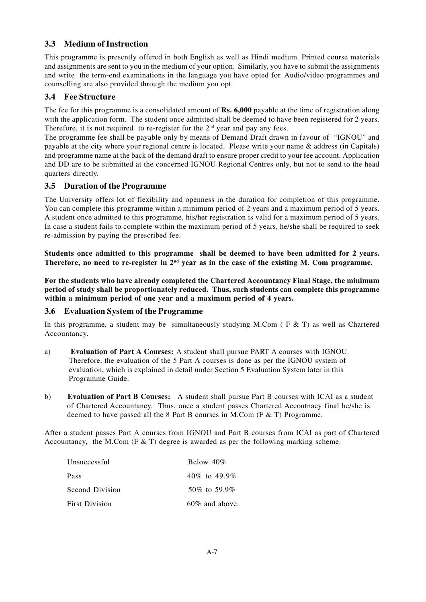# **3.3 Medium of Instruction**

This programme is presently offered in both English as well as Hindi medium. Printed course materials and assignments are sent to you in the medium of your option. Similarly, you have to submit the assignments and write the term-end examinations in the language you have opted for. Audio/video programmes and counselling are also provided through the medium you opt.

# **3.4 Fee Structure**

The fee for this programme is a consolidated amount of **Rs. 6,000** payable at the time of registration along with the application form. The student once admitted shall be deemed to have been registered for 2 years. Therefore, it is not required to re-register for the 2<sup>nd</sup> year and pay any fees.

The programme fee shall be payable only by means of Demand Draft drawn in favour of "IGNOU" and payable at the city where your regional centre is located. Please write your name & address (in Capitals) and programme name at the back of the demand draft to ensure proper credit to your fee account. Application and DD are to be submitted at the concerned IGNOU Regional Centres only, but not to send to the head quarters directly.

# **3.5 Duration of the Programme**

The University offers lot of flexibility and openness in the duration for completion of this programme. You can complete this programme within a minimum period of 2 years and a maximum period of 5 years. A student once admitted to this programme, his/her registration is valid for a maximum period of 5 years. In case a student fails to complete within the maximum period of 5 years, he/she shall be required to seek re-admission by paying the prescribed fee.

**Students once admitted to this programme shall be deemed to have been admitted for 2 years. Therefore, no need to re-register in 2nd year as in the case of the existing M. Com programme.**

**For the students who have already completed the Chartered Accountancy Final Stage, the minimum period of study shall be proportionately reduced. Thus, such students can complete this programme within a minimum period of one year and a maximum period of 4 years.**

# **3.6 Evaluation System of the Programme**

In this programme, a student may be simultaneously studying M.Com ( $F < T$ ) as well as Chartered Accountancy.

- a) **Evaluation of Part A Courses:** A student shall pursue PART A courses with IGNOU. Therefore, the evaluation of the 5 Part A courses is done as per the IGNOU system of evaluation, which is explained in detail under Section 5 Evaluation System later in this Programme Guide.
- b) **Evaluation of Part B Courses:** A student shall pursue Part B courses with ICAI as a student of Chartered Accountancy. Thus, once a student passes Chartered Accoutnacy final he/she is deemed to have passed all the 8 Part B courses in M.Com ( $F \& T$ ) Programme.

After a student passes Part A courses from IGNOU and Part B courses from ICAI as part of Chartered Accountancy, the M.Com (F & T) degree is awarded as per the following marking scheme.

| Unsuccessful    | Below $40\%$       |  |  |
|-----------------|--------------------|--|--|
| Pass            | 40\% to 49.9\%     |  |  |
| Second Division | $50\%$ to $59.9\%$ |  |  |
| First Division  | $60\%$ and above.  |  |  |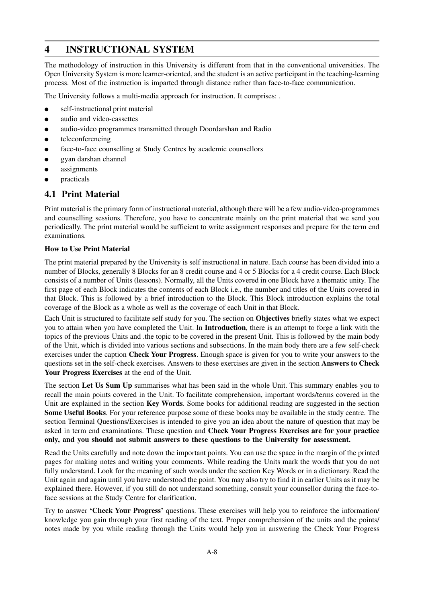# **4 INSTRUCTIONAL SYSTEM**

The methodology of instruction in this University is different from that in the conventional universities. The Open University System is more learner-oriented, and the student is an active participant in the teaching-learning process. Most of the instruction is imparted through distance rather than face-to-face communication.

The University follows a multi-media approach for instruction. It comprises: .

- self-instructional print material
- audio and video-cassettes
- audio-video programmes transmitted through Doordarshan and Radio
- teleconferencing
- face-to-face counselling at Study Centres by academic counsellors
- gyan darshan channel
- assignments
- practicals

# **4.1 Print Material**

Print material is the primary form of instructional material, although there will be a few audio-video-programmes and counselling sessions. Therefore, you have to concentrate mainly on the print material that we send you periodically. The print material would be sufficient to write assignment responses and prepare for the term end examinations.

### **How to Use Print Material**

The print material prepared by the University is self instructional in nature. Each course has been divided into a number of Blocks, generally 8 Blocks for an 8 credit course and 4 or 5 Blocks for a 4 credit course. Each Block consists of a number of Units (lessons). Normally, all the Units covered in one Block have a thematic unity. The first page of each Block indicates the contents of each Block i.e., the number and titles of the Units covered in that Block. This is followed by a brief introduction to the Block. This Block introduction explains the total coverage of the Block as a whole as well as the coverage of each Unit in that Block.

Each Unit is structured to facilitate self study for you. The section on **Objectives** briefly states what we expect you to attain when you have completed the Unit. In **Introduction**, there is an attempt to forge a link with the topics of the previous Units and .the topic to be covered in the present Unit. This is followed by the main body of the Unit, which is divided into various sections and subsections. In the main body there are a few self-check exercises under the caption **Check Your Progress**. Enough space is given for you to write your answers to the questions set in the self-check exercises. Answers to these exercises are given in the section **Answers to Check Your Progress Exercises** at the end of the Unit.

The section **Let Us Sum Up** summarises what has been said in the whole Unit. This summary enables you to recall the main points covered in the Unit. To facilitate comprehension, important words/terms covered in the Unit are explained in the section **Key Words**. Some books for additional reading are suggested in the section **Some Useful Books**. For your reference purpose some of these books may be available in the study centre. The section Terminal Questions/Exercises is intended to give you an idea about the nature of question that may be asked in term end examinations. These question and **Check Your Progress Exercises are for your practice only, and you should not submit answers to these questions to the University for assessment.**

Read the Units carefully and note down the important points. You can use the space in the margin of the printed pages for making notes and writing your comments. While reading the Units mark the words that you do not fully understand. Look for the meaning of such words under the section Key Words or in a dictionary. Read the Unit again and again until you have understood the point. You may also try to find it in earlier Units as it may be explained there. However, if you still do not understand something, consult your counsellor during the face-toface sessions at the Study Centre for clarification.

Try to answer **'Check Your Progress'** questions. These exercises will help you to reinforce the information/ knowledge you gain through your first reading of the text. Proper comprehension of the units and the points/ notes made by you while reading through the Units would help you in answering the Check Your Progress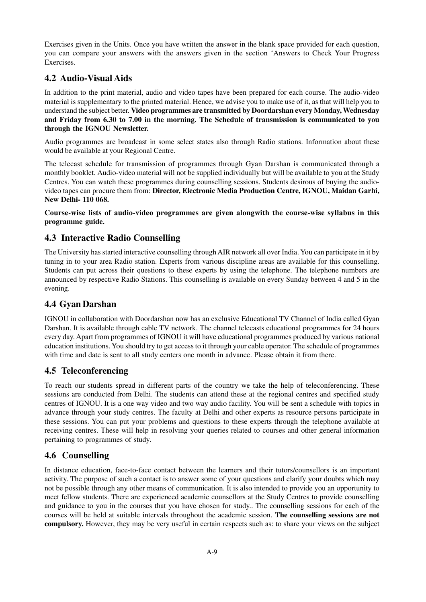Exercises given in the Units. Once you have written the answer in the blank space provided for each question, you can compare your answers with the answers given in the section 'Answers to Check Your Progress Exercises.

# **4.2 Audio-Visual Aids**

In addition to the print material, audio and video tapes have been prepared for each course. The audio-video material is supplementary to the printed material. Hence, we advise you to make use of it, as that will help you to understand the subject better. **Video programmes are transmitted by Doordarshan every Monday, Wednesday and Friday from 6.30 to 7.00 in the morning. The Schedule of transmission is communicated to you through the IGNOU Newsletter.**

Audio programmes are broadcast in some select states also through Radio stations. Information about these would be available at your Regional Centre.

The telecast schedule for transmission of programmes through Gyan Darshan is communicated through a monthly booklet. Audio-video material will not be supplied individually but will be available to you at the Study Centres. You can watch these programmes during counselling sessions. Students desirous of buying the audiovideo tapes can procure them from: **Director, Electronic Media Production Centre, IGNOU, Maidan Garhi, New Delhi- 110 068.**

**Course-wise lists of audio-video programmes are given alongwith the course-wise syllabus in this programme guide.**

# **4.3 Interactive Radio Counselling**

The University has started interactive counselling through AIR network all over India. You can participate in it by tuning in to your area Radio station. Experts from various discipline areas are available for this counselling. Students can put across their questions to these experts by using the telephone. The telephone numbers are announced by respective Radio Stations. This counselling is available on every Sunday between 4 and 5 in the evening.

# **4.4 Gyan Darshan**

IGNOU in collaboration with Doordarshan now has an exclusive Educational TV Channel of India called Gyan Darshan. It is available through cable TV network. The channel telecasts educational programmes for 24 hours every day. Apart from programmes of IGNOU it will have educational programmes produced by various national education institutions. You should try to get access to it through your cable operator. The schedule of programmes with time and date is sent to all study centers one month in advance. Please obtain it from there.

# **4.5 Teleconferencing**

To reach our students spread in different parts of the country we take the help of teleconferencing. These sessions are conducted from Delhi. The students can attend these at the regional centres and specified study centres of IGNOU. It is a one way video and two way audio facility. You will be sent a schedule with topics in advance through your study centres. The faculty at Delhi and other experts as resource persons participate in these sessions. You can put your problems and questions to these experts through the telephone available at receiving centres. These will help in resolving your queries related to courses and other general information pertaining to programmes of study.

# **4.6 Counselling**

In distance education, face-to-face contact between the learners and their tutors/counsellors is an important activity. The purpose of such a contact is to answer some of your questions and clarify your doubts which may not be possible through any other means of communication. It is also intended to provide you an opportunity to meet fellow students. There are experienced academic counsellors at the Study Centres to provide counselling and guidance to you in the courses that you have chosen for study.. The counselling sessions for each of the courses will be held at suitable intervals throughout the academic session. **The counselling sessions are not compulsory.** However, they may be very useful in certain respects such as: to share your views on the subject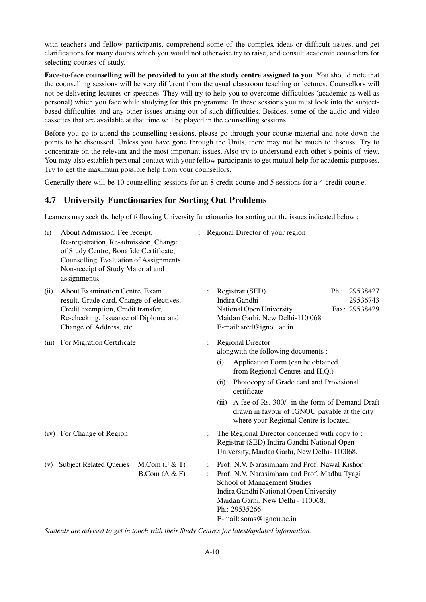with teachers and fellow participants, comprehend some of the complex ideas or difficult issues, and get clarifications for many doubts which you would not otherwise try to raise, and consult academic counselors for selecting courses of study.

**Face-to-face counselling will be provided to you at the study centre assigned to you**. You should note that the counselling sessions will be very different from the usual classroom teaching or lectures. Counsellors will not be delivering lectures or speeches. They will try to help you to overcome difficulties (academic as well as personal) which you face while studying for this programme. In these sessions you must look into the subjectbased difficulties and any other issues arising out of such difficulties. Besides, some of the audio and video cassettes that are available at that time will be played in the counselling sessions.

Before you go to attend the counselling sessions, please go through your course material and note down the points to be discussed. Unless you have gone through the Units, there may not be much to discuss. Try to concentrate on the relevant and the most important issues. Also try to understand each other's points of view. You may also establish personal contact with your fellow participants to get mutual help for academic purposes. Try to get the maximum possible help from your counsellors.

Generally there will be 10 counselling sessions for an 8 credit course and 5 sessions for a 4 credit course.

### **4.7 University Functionaries for Sorting Out Problems**

Learners may seek the help of following University functionaries for sorting out the issues indicated below :

| (i)   | About Admission, Fee receipt,<br>Re-registration, Re-admission, Change<br>of Study Centre, Bonafide Certificate,<br>Counselling, Evaluation of Assignments.<br>Non-receipt of Study Material and<br>assignments. |                                           |   |                      | Regional Director of your region                                                                                                                                                                                                                                                                                                             |  |                                            |  |  |
|-------|------------------------------------------------------------------------------------------------------------------------------------------------------------------------------------------------------------------|-------------------------------------------|---|----------------------|----------------------------------------------------------------------------------------------------------------------------------------------------------------------------------------------------------------------------------------------------------------------------------------------------------------------------------------------|--|--------------------------------------------|--|--|
| (ii)  | About Examination Centre, Exam<br>result, Grade card, Change of electives,<br>Credit exemption, Credit transfer,<br>Re-checking, Issuance of Diploma and<br>Change of Address, etc.                              |                                           |   |                      | Registrar (SED)<br>Indira Gandhi<br>National Open University<br>Maidan Garhi, New Delhi-110 068<br>E-mail: sred@ignou.ac.in                                                                                                                                                                                                                  |  | Ph.: 29538427<br>29536743<br>Fax: 29538429 |  |  |
| (iii) | For Migration Certificate                                                                                                                                                                                        |                                           |   | (i)<br>(ii)<br>(iii) | <b>Regional Director</b><br>alongwith the following documents:<br>Application Form (can be obtained<br>from Regional Centres and H.Q.)<br>Photocopy of Grade card and Provisional<br>certificate<br>A fee of Rs. 300/- in the form of Demand Draft<br>drawn in favour of IGNOU payable at the city<br>where your Regional Centre is located. |  |                                            |  |  |
|       | (iv) For Change of Region<br>The Regional Director concerned with copy to:<br>Registrar (SED) Indira Gandhi National Open<br>University, Maidan Garhi, New Delhi-110068.                                         |                                           |   |                      |                                                                                                                                                                                                                                                                                                                                              |  |                                            |  |  |
| (v)   | <b>Subject Related Queries</b>                                                                                                                                                                                   | $M_{\cdot}$ Com (F & T)<br>B. Com (A & F) | : |                      | Prof. N.V. Narasimham and Prof. Nawal Kishor<br>Prof. N.V. Narasimham and Prof. Madhu Tyagi<br>School of Management Studies<br>Indira Gandhi National Open University<br>Maidan Garhi, New Delhi - 110068.<br>Ph.: 29535266<br>E-mail: soms@ignou.ac.in                                                                                      |  |                                            |  |  |

*Students are advised to get in touch with their Study Centres for latest/updated information.*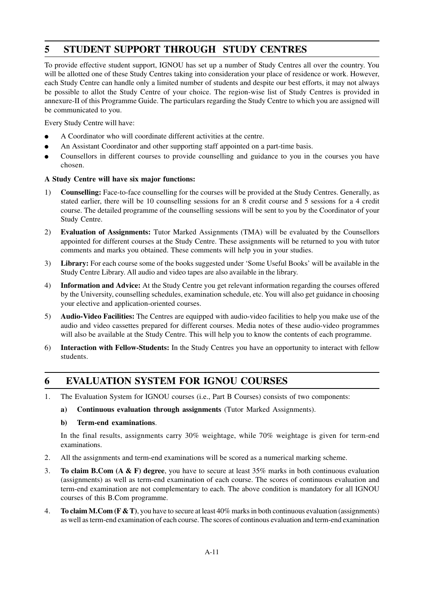# **5 STUDENT SUPPORT THROUGH STUDY CENTRES**

To provide effective student support, IGNOU has set up a number of Study Centres all over the country. You will be allotted one of these Study Centres taking into consideration your place of residence or work. However, each Study Centre can handle only a limited number of students and despite our best efforts, it may not always be possible to allot the Study Centre of your choice. The region-wise list of Study Centres is provided in annexure-II of this Programme Guide. The particulars regarding the Study Centre to which you are assigned will be communicated to you.

Every Study Centre will have:

- A Coordinator who will coordinate different activities at the centre.
- An Assistant Coordinator and other supporting staff appointed on a part-time basis.
- Counsellors in different courses to provide counselling and guidance to you in the courses you have chosen.

### **A Study Centre will have six major functions:**

- 1) **Counselling:** Face-to-face counselling for the courses will be provided at the Study Centres. Generally, as stated earlier, there will be 10 counselling sessions for an 8 credit course and 5 sessions for a 4 credit course. The detailed programme of the counselling sessions will be sent to you by the Coordinator of your Study Centre.
- 2) **Evaluation of Assignments:** Tutor Marked Assignments (TMA) will be evaluated by the Counsellors appointed for different courses at the Study Centre. These assignments will be returned to you with tutor comments and marks you obtained. These comments will help you in your studies.
- 3) **Library:** For each course some of the books suggested under 'Some Useful Books' will be available in the Study Centre Library. All audio and video tapes are also available in the library.
- 4) **Information and Advice:** At the Study Centre you get relevant information regarding the courses offered by the University, counselling schedules, examination schedule, etc. You will also get guidance in choosing your elective and application-oriented courses.
- 5) **Audio-Video Facilities:** The Centres are equipped with audio-video facilities to help you make use of the audio and video cassettes prepared for different courses. Media notes of these audio-video programmes will also be available at the Study Centre. This will help you to know the contents of each programme.
- 6) **Interaction with Fellow-Students:** In the Study Centres you have an opportunity to interact with fellow students.

# **6 EVALUATION SYSTEM FOR IGNOU COURSES**

- 1. The Evaluation System for IGNOU courses (i.e., Part B Courses) consists of two components:
	- **a) Continuous evaluation through assignments** (Tutor Marked Assignments).

### **b) Term-end examinations**.

In the final results, assignments carry 30% weightage, while 70% weightage is given for term-end examinations.

- 2. All the assignments and term-end examinations will be scored as a numerical marking scheme.
- 3. **To claim B.Com (A & F) degree**, you have to secure at least 35% marks in both continuous evaluation (assignments) as well as term-end examination of each course. The scores of continuous evaluation and term-end examination are not complementary to each. The above condition is mandatory for all IGNOU courses of this B.Com programme.
- 4. **To claim M.Com (F & T)**, you have to secure at least 40% marks in both continuous evaluation (assignments) as well as term-end examination of each course. The scores of continous evaluation and term-end examination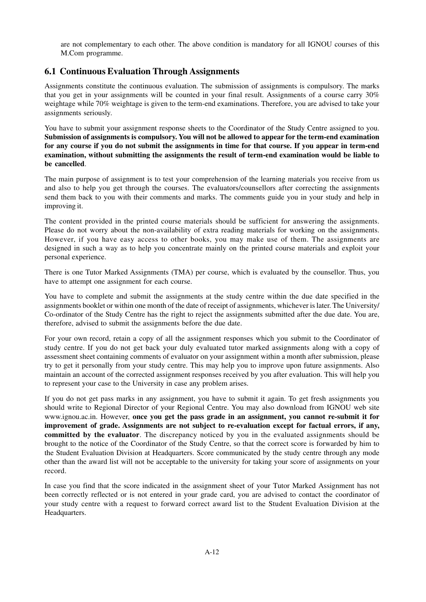are not complementary to each other. The above condition is mandatory for all IGNOU courses of this M.Com programme.

# **6.1 Continuous Evaluation Through Assignments**

Assignments constitute the continuous evaluation. The submission of assignments is compulsory. The marks that you get in your assignments will be counted in your final result. Assignments of a course carry 30% weightage while 70% weightage is given to the term-end examinations. Therefore, you are advised to take your assignments seriously.

You have to submit your assignment response sheets to the Coordinator of the Study Centre assigned to you. **Submission of assignments is compulsory. You will not be allowed to appear for the term-end examination for any course if you do not submit the assignments in time for that course. If you appear in term-end examination, without submitting the assignments the result of term-end examination would be liable to be cancelled**.

The main purpose of assignment is to test your comprehension of the learning materials you receive from us and also to help you get through the courses. The evaluators/counsellors after correcting the assignments send them back to you with their comments and marks. The comments guide you in your study and help in improving it.

The content provided in the printed course materials should be sufficient for answering the assignments. Please do not worry about the non-availability of extra reading materials for working on the assignments. However, if you have easy access to other books, you may make use of them. The assignments are designed in such a way as to help you concentrate mainly on the printed course materials and exploit your personal experience.

There is one Tutor Marked Assignments (TMA) per course, which is evaluated by the counsellor. Thus, you have to attempt one assignment for each course.

You have to complete and submit the assignments at the study centre within the due date specified in the assignments booklet or within one month of the date of receipt of assignments, whichever is later. The University/ Co-ordinator of the Study Centre has the right to reject the assignments submitted after the due date. You are, therefore, advised to submit the assignments before the due date.

For your own record, retain a copy of all the assignment responses which you submit to the Coordinator of study centre. If you do not get back your duly evaluated tutor marked assignments along with a copy of assessment sheet containing comments of evaluator on your assignment within a month after submission, please try to get it personally from your study centre. This may help you to improve upon future assignments. Also maintain an account of the corrected assignment responses received by you after evaluation. This will help you to represent your case to the University in case any problem arises.

If you do not get pass marks in any assignment, you have to submit it again. To get fresh assignments you should write to Regional Director of your Regional Centre. You may also download from IGNOU web site www.ignou.ac.in. However, **once you get the pass grade in an assignment, you cannot re-submit it for improvement of grade. Assignments are not subject to re-evaluation except for factual errors, if any, committed by the evaluator**. The discrepancy noticed by you in the evaluated assignments should be brought to the notice of the Coordinator of the Study Centre, so that the correct score is forwarded by him to the Student Evaluation Division at Headquarters. Score communicated by the study centre through any mode other than the award list will not be acceptable to the university for taking your score of assignments on your record.

In case you find that the score indicated in the assignment sheet of your Tutor Marked Assignment has not been correctly reflected or is not entered in your grade card, you are advised to contact the coordinator of your study centre with a request to forward correct award list to the Student Evaluation Division at the Headquarters.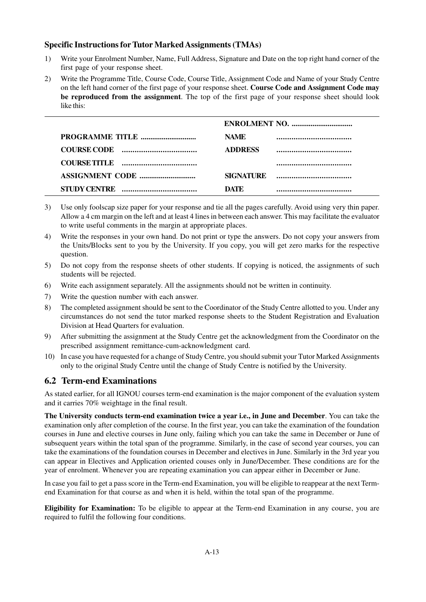# **Specific Instructions for Tutor Marked Assignments (TMAs)**

- 1) Write your Enrolment Number, Name, Full Address, Signature and Date on the top right hand corner of the first page of your response sheet.
- 2) Write the Programme Title, Course Code, Course Title, Assignment Code and Name of your Study Centre on the left hand corner of the first page of your response sheet. **Course Code and Assignment Code may be reproduced from the assignment**. The top of the first page of your response sheet should look like this:

|                                                              | <b>NAME</b>      |  |
|--------------------------------------------------------------|------------------|--|
|                                                              | <b>ADDRESS</b>   |  |
|                                                              |                  |  |
|                                                              | <b>SIGNATURE</b> |  |
| <b>STUDY CENTRE</b><br>------------------------------------- | DATE             |  |

- 3) Use only foolscap size paper for your response and tie all the pages carefully. Avoid using very thin paper. Allow a 4 cm margin on the left and at least 4 lines in between each answer. This may facilitate the evaluator to write useful comments in the margin at appropriate places.
- 4) Write the responses in your own hand. Do not print or type the answers. Do not copy your answers from the Units/Blocks sent to you by the University. If you copy, you will get zero marks for the respective question.
- 5) Do not copy from the response sheets of other students. If copying is noticed, the assignments of such students will be rejected.
- 6) Write each assignment separately. All the assignments should not be written in continuity.
- 7) Write the question number with each answer.
- 8) The completed assignment should be sent to the Coordinator of the Study Centre allotted to you. Under any circumstances do not send the tutor marked response sheets to the Student Registration and Evaluation Division at Head Quarters for evaluation.
- 9) After submitting the assignment at the Study Centre get the acknowledgment from the Coordinator on the prescribed assignment remittance-cum-acknowledgment card.
- 10) In case you have requested for a change of Study Centre, you should submit your Tutor Marked Assignments only to the original Study Centre until the change of Study Centre is notified by the University.

# **6.2 Term-end Examinations**

As stated earlier, for all IGNOU courses term-end examination is the major component of the evaluation system and it carries 70% weightage in the final result.

**The University conducts term-end examination twice a year i.e., in June and December**. You can take the examination only after completion of the course. In the first year, you can take the examination of the foundation courses in June and elective courses in June only, failing which you can take the same in December or June of subsequent years within the total span of the programme. Similarly, in the case of second year courses, you can take the examinations of the foundation courses in December and electives in June. Similarly in the 3rd year you can appear in Electives and Application oriented couses only in June/December. These conditions are for the year of enrolment. Whenever you are repeating examination you can appear either in December or June.

In case you fail to get a pass score in the Term-end Examination, you will be eligible to reappear at the next Termend Examination for that course as and when it is held, within the total span of the programme.

**Eligibility for Examination:** To be eligible to appear at the Term-end Examination in any course, you are required to fulfil the following four conditions.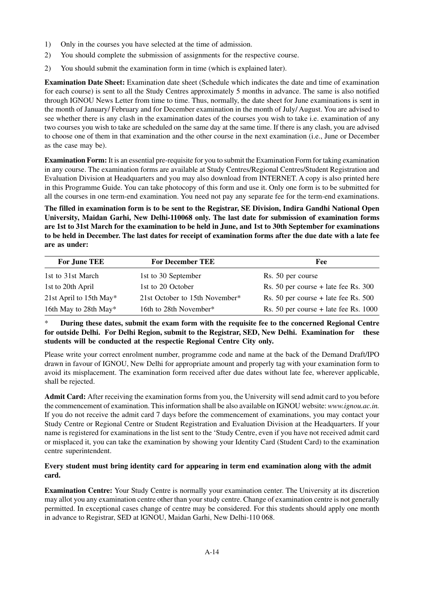- 1) Only in the courses you have selected at the time of admission.
- 2) You should complete the submission of assignments for the respective course.
- 2) You should submit the examination form in time (which is explained later).

**Examination Date Sheet:** Examination date sheet (Schedule which indicates the date and time of examination for each course) is sent to all the Study Centres approximately 5 months in advance. The same is also notified through IGNOU News Letter from time to time. Thus, normally, the date sheet for June examinations is sent in the month of January/ February and for December examination in the month of July/ August. You are advised to see whether there is any clash in the examination dates of the courses you wish to take i.e. examination of any two courses you wish to take are scheduled on the same day at the same time. If there is any clash, you are advised to choose one of them in that examination and the other course in the next examination (i.e., June or December as the case may be).

**Examination Form:** It is an essential pre-requisite for you to submit the Examination Form for taking examination in any course. The examination forms are available at Study Centres/Regional Centres/Student Registration and Evaluation Division at Headquarters and you may also download from INTERNET. A copy is also printed here in this Programme Guide. You can take photocopy of this form and use it. Only one form is to be submitted for all the courses in one term-end examination. You need not pay any separate fee for the term-end examinations.

**The filled in examination form is to be sent to the Registrar, SE Division, Indira Gandhi National Open University, Maidan Garhi, New Delhi-110068 only. The last date for submission of examination forms are 1st to 31st March for the examination to be held in June, and 1st to 30th September for examinations to be held in December. The last dates for receipt of examination forms after the due date with a late fee are as under:**

| <b>For June TEE</b>     | <b>For December TEE</b>        | Fee                                     |
|-------------------------|--------------------------------|-----------------------------------------|
| 1st to 31st March       | 1st to 30 September            | Rs. 50 per course                       |
| 1st to 20th April       | 1st to 20 October              | Rs. 50 per course $+$ late fee Rs. 300  |
| 21st April to 15th May* | 21st October to 15th November* | Rs. 50 per course $+$ late fee Rs. 500  |
| 16th May to 28th May*   | 16th to 28th November*         | Rs. 50 per course $+$ late fee Rs. 1000 |

\* **During these dates, submit the exam form with the requisite fee to the concerned Regional Centre for outside Delhi. For Delhi Region, submit to the Registrar, SED, New Delhi. Examination for these students will be conducted at the respectie Regional Centre City only.**

Please write your correct enrolment number, programme code and name at the back of the Demand Draft/IPO drawn in favour of IGNOU, New Delhi for appropriate amount and properly tag with your examination form to avoid its misplacement. The examination form received after due dates without late fee, wherever applicable, shall be rejected.

**Admit Card:** After receiving the examination forms from you, the University will send admit card to you before the commencement of examination. This information shall be also available on IGNOU website: *www.ignou.ac.in.* If you do not receive the admit card 7 days before the commencement of examinations, you may contact your Study Centre or Regional Centre or Student Registration and Evaluation Division at the Headquarters. If your name is registered for examinations in the list sent to the 'Study Centre, even if you have not received admit card or misplaced it, you can take the examination by showing your Identity Card (Student Card) to the examination centre superintendent.

### **Every student must bring identity card for appearing in term end examination along with the admit card.**

**Examination Centre:** Your Study Centre is normally your examination center. The University at its discretion may allot you any examination centre other than your study centre. Change of examination centre is not generally permitted. In exceptional cases change of centre may be considered. For this students should apply one month in advance to Registrar, SED at lGNOU, Maidan Garhi, New Delhi-110 068.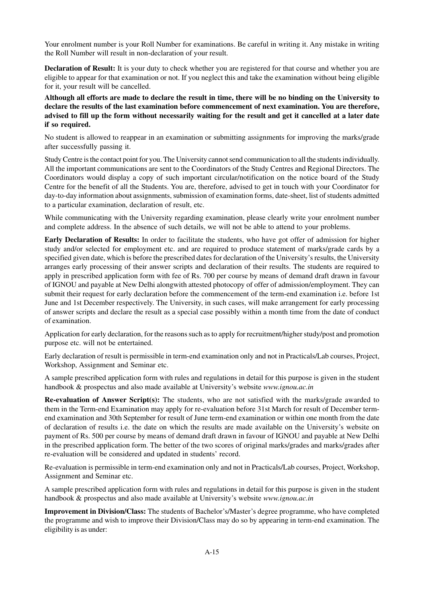Your enrolment number is your Roll Number for examinations. Be careful in writing it. Any mistake in writing the Roll Number will result in non-declaration of your result.

**Declaration of Result:** It is your duty to check whether you are registered for that course and whether you are eligible to appear for that examination or not. If you neglect this and take the examination without being eligible for it, your result will be cancelled.

**Although all efforts are made to declare the result in time, there will be no binding on the University to declare the results of the last examination before commencement of next examination. You are therefore, advised to fill up the form without necessarily waiting for the result and get it cancelled at a later date if so required.**

No student is allowed to reappear in an examination or submitting assignments for improving the marks/grade after successfully passing it.

Study Centre is the contact point for you. The University cannot send communication to all the students individually. All the important communications are sent to the Coordinators of the Study Centres and Regional Directors. The Coordinators would display a copy of such important circular/notification on the notice board of the Study Centre for the benefit of all the Students. You are, therefore, advised to get in touch with your Coordinator for day-to-day information about assignments, submission of examination forms, date-sheet, list of students admitted to a particular examination, declaration of result, etc.

While communicating with the University regarding examination, please clearly write your enrolment number and complete address. In the absence of such details, we will not be able to attend to your problems.

**Early Declaration of Results:** In order to facilitate the students, who have got offer of admission for higher study and/or selected for employment etc. and are required to produce statement of marks/grade cards by a specified given date, which is before the prescribed dates for declaration of the University's results, the University arranges early processing of their answer scripts and declaration of their results. The students are required to apply in prescribed application form with fee of Rs. 700 per course by means of demand draft drawn in favour of IGNOU and payable at New Delhi alongwith attested photocopy of offer of admission/employment. They can submit their request for early declaration before the commencement of the term-end examination i.e. before 1st June and 1st December respectively. The University, in such cases, will make arrangement for early processing of answer scripts and declare the result as a special case possibly within a month time from the date of conduct of examination.

Application for early declaration, for the reasons such as to apply for recruitment/higher study/post and promotion purpose etc. will not be entertained.

Early declaration of result is permissible in term-end examination only and not in Practicals/Lab courses, Project, Workshop, Assignment and Seminar etc.

A sample prescribed application form with rules and regulations in detail for this purpose is given in the student handbook & prospectus and also made available at University's website *www.ignou.ac.in*

**Re-evaluation of Answer Script(s):** The students, who are not satisfied with the marks/grade awarded to them in the Term-end Examination may apply for re-evaluation before 31st March for result of December termend examination and 30th September for result of June term-end examination or within one month from the date of declaration of results i.e. the date on which the results are made available on the University's website on payment of Rs. 500 per course by means of demand draft drawn in favour of IGNOU and payable at New Delhi in the prescribed application form. The better of the two scores of original marks/grades and marks/grades after re-evaluation will be considered and updated in students' record.

Re-evaluation is permissible in term-end examination only and not in Practicals/Lab courses, Project, Workshop, Assignment and Seminar etc.

A sample prescribed application form with rules and regulations in detail for this purpose is given in the student handbook & prospectus and also made available at University's website *www.ignou.ac.in*

**Improvement in Division/Class:** The students of Bachelor's/Master's degree programme, who have completed the programme and wish to improve their Division/Class may do so by appearing in term-end examination. The eligibility is as under: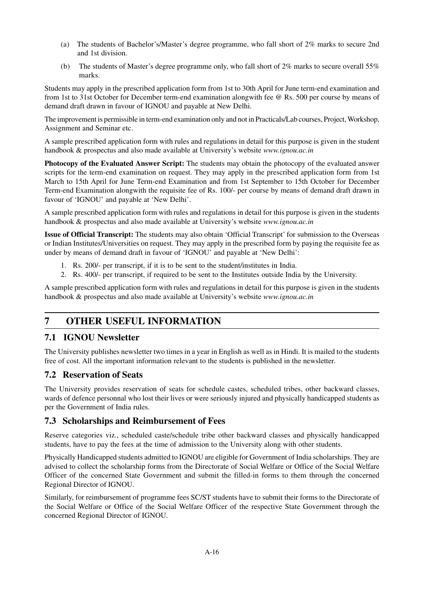- (a) The students of Bachelor's/Master's degree programme, who fall short of 2% marks to secure 2nd and 1st division.
- (b) The students of Master's degree programme only, who fall short of 2% marks to secure overall 55% marks.

Students may apply in the prescribed application form from 1st to 30th April for June term-end examination and from 1st to 31st October for December term-end examination alongwith fee @ Rs. 500 per course by means of demand draft drawn in favour of IGNOU and payable at New Delhi.

The improvement is permissible in term-end examination only and not in Practicals/Lab courses, Project, Workshop, Assignment and Seminar etc.

A sample prescribed application form with rules and regulations in detail for this purpose is given in the student handbook & prospectus and also made available at University's website *www.ignou.ac.in*

**Photocopy of the Evaluated Answer Script:** The students may obtain the photocopy of the evaluated answer scripts for the term-end examination on request. They may apply in the prescribed application form from 1st March to 15th April for June Term-end Examination and from 1st September to 15th October for December Term-end Examination alongwith the requisite fee of Rs. 100/- per course by means of demand draft drawn in favour of 'IGNOU' and payable at 'New Delhi'.

A sample prescribed application form with rules and regulations in detail for this purpose is given in the students handbook & prospectus and also made available at University's website *www.ignou.ac.in*

**Issue of Official Transcript:** The students may also obtain 'Official Transcript' for submission to the Overseas or Indian Institutes/Universities on request. They may apply in the prescribed form by paying the requisite fee as under by means of demand draft in favour of 'IGNOU' and payable at 'New Delhi':

- 1. Rs. 200/- per transcript, if it is to be sent to the student/institutes in India.
- 2. Rs. 400/- per transcript, if required to be sent to the Institutes outside India by the University.

A sample prescribed application form with rules and regulations in detail for this purpose is given in the students handbook & prospectus and also made available at University's website *www.ignou.ac.in*

# **7 OTHER USEFUL INFORMATION**

# **7.1 IGNOU Newsletter**

The University publishes newsletter two times in a year in English as well as in Hindi. It is mailed to the students free of cost. All the important information relevant to the students is published in the newsletter.

# **7.2 Reservation of Seats**

The University provides reservation of seats for schedule castes, scheduled tribes, other backward classes, wards of defence personnal who lost their lives or were seriously injured and physically handicapped students as per the Government of India rules.

# **7.3 Scholarships and Reimbursement of Fees**

Reserve categories viz., scheduled caste/schedule tribe other backward classes and physically handicapped students, have to pay the fees at the time of admission to the University along with other students.

Physically Handicapped students admitted to IGNOU are eligible for Government of India scholarships. They are advised to collect the scholarship forms from the Directorate of Social Welfare or Office of the Social Welfare Officer of the concerned State Government and submit the filled-in forms to them through the concerned Regional Director of IGNOU.

Similarly, for reimbursement of programme fees SC/ST students have to submit their forms to the Directorate of the Social Welfare or Office of the Social Welfare Officer of the respective State Government through the concerned Regional Director of IGNOU.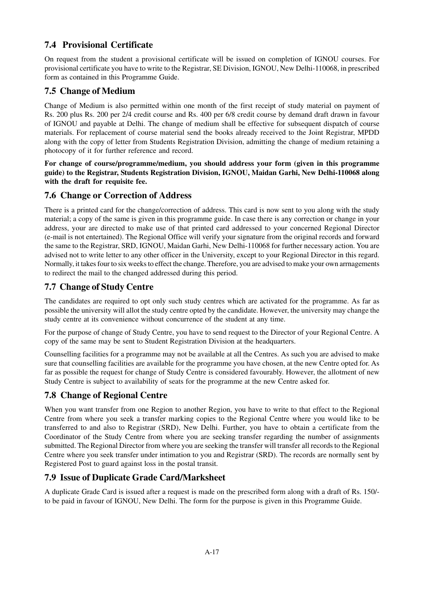# **7.4 Provisional Certificate**

On request from the student a provisional certificate will be issued on completion of IGNOU courses. For provisional certificate you have to write to the Registrar, SE Division, IGNOU, New Delhi-110068, in prescribed form as contained in this Programme Guide.

# **7.5 Change of Medium**

Change of Medium is also permitted within one month of the first receipt of study material on payment of Rs. 200 plus Rs. 200 per 2/4 credit course and Rs. 400 per 6/8 credit course by demand draft drawn in favour of IGNOU and payable at Delhi. The change of medium shall be effective for subsequent dispatch of course materials. For replacement of course material send the books already received to the Joint Registrar, MPDD along with the copy of letter from Students Registration Division, admitting the change of medium retaining a photocopy of it for further reference and record.

**For change of course/programme/medium, you should address your form (given in this programme guide) to the Registrar, Students Registration Division, IGNOU, Maidan Garhi, New Delhi-110068 along with the draft for requisite fee.**

# **7.6 Change or Correction of Address**

There is a printed card for the change/correction of address. This card is now sent to you along with the study material; a copy of the same is given in this programme guide. In case there is any correction or change in your address, your are directed to make use of that printed card addressed to your concerned Regional Director (e-mail is not entertained). The Regional Office will verify your signature from the original records and forward the same to the Registrar, SRD, IGNOU, Maidan Garhi, New Delhi-110068 for further necessary action. You are advised not to write letter to any other officer in the University, except to your Regional Director in this regard. Normally, it takes four to six weeks to effect the change. Therefore, you are advised to make your own arrnagements to redirect the mail to the changed addressed during this period.

# **7.7 Change of Study Centre**

The candidates are required to opt only such study centres which are activated for the programme. As far as possible the university will allot the study centre opted by the candidate. However, the university may change the study centre at its convenience without concurrence of the student at any time.

For the purpose of change of Study Centre, you have to send request to the Director of your Regional Centre. A copy of the same may be sent to Student Registration Division at the headquarters.

Counselling facilities for a programme may not be available at all the Centres. As such you are advised to make sure that counselling facilities are available for the programme you have chosen, at the new Centre opted for. As far as possible the request for change of Study Centre is considered favourably. However, the allotment of new Study Centre is subject to availability of seats for the programme at the new Centre asked for.

# **7.8 Change of Regional Centre**

When you want transfer from one Region to another Region, you have to write to that effect to the Regional Centre from where you seek a transfer marking copies to the Regional Centre where you would like to be transferred to and also to Registrar (SRD), New Delhi. Further, you have to obtain a certificate from the Coordinator of the Study Centre from where you are seeking transfer regarding the number of assignments submitted. The Regional Director from where you are seeking the transfer will transfer all records to the Regional Centre where you seek transfer under intimation to you and Registrar (SRD). The records are normally sent by Registered Post to guard against loss in the postal transit.

# **7.9 Issue of Duplicate Grade Card/Marksheet**

A duplicate Grade Card is issued after a request is made on the prescribed form along with a draft of Rs. 150/ to be paid in favour of IGNOU, New Delhi. The form for the purpose is given in this Programme Guide.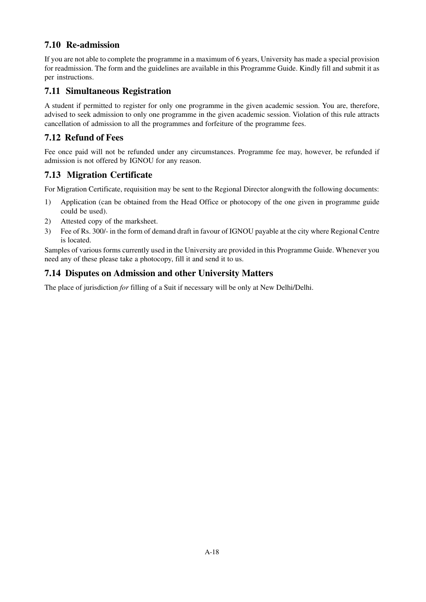# **7.10 Re-admission**

If you are not able to complete the programme in a maximum of 6 years, University has made a special provision for readmission. The form and the guidelines are available in this Programme Guide. Kindly fill and submit it as per instructions.

# **7.11 Simultaneous Registration**

A student if permitted to register for only one programme in the given academic session. You are, therefore, advised to seek admission to only one programme in the given academic session. Violation of this rule attracts cancellation of admission to all the programmes and forfeiture of the programme fees.

# **7.12 Refund of Fees**

Fee once paid will not be refunded under any circumstances. Programme fee may, however, be refunded if admission is not offered by IGNOU for any reason.

# **7.13 Migration Certificate**

For Migration Certificate, requisition may be sent to the Regional Director alongwith the following documents:

- 1) Application (can be obtained from the Head Office or photocopy of the one given in programme guide could be used).
- 2) Attested copy of the marksheet.
- 3) Fee of Rs. 300/- in the form of demand draft in favour of IGNOU payable at the city where Regional Centre is located.

Samples of various forms currently used in the University are provided in this Programme Guide. Whenever you need any of these please take a photocopy, fill it and send it to us.

# **7.14 Disputes on Admission and other University Matters**

The place of jurisdiction *for* filling of a Suit if necessary will be only at New Delhi/Delhi.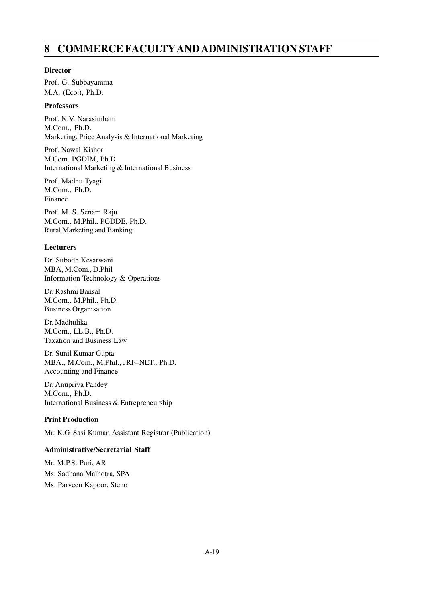# **8 COMMERCE FACULTYAND ADMINISTRATION STAFF**

### **Director**

Prof. G. Subbayamma M.A. (Eco.), Ph.D.

### **Professors**

Prof. N.V. Narasimham M.Com., Ph.D. Marketing, Price Analysis & International Marketing

Prof. Nawal Kishor M.Com. PGDIM, Ph.D International Marketing & International Business

Prof. Madhu Tyagi M.Com., Ph.D. Finance

Prof. M. S. Senam Raju M.Com., M.Phil., PGDDE, Ph.D. Rural Marketing and Banking

### **Lecturers**

Dr. Subodh Kesarwani MBA, M.Com., D.Phil Information Technology & Operations

Dr. Rashmi Bansal M.Com., M.Phil., Ph.D. Business Organisation

Dr. Madhulika M.Com., LL.B., Ph.D. Taxation and Business Law

Dr. Sunil Kumar Gupta MBA., M.Com., M.Phil., JRF–NET., Ph.D. Accounting and Finance

Dr. Anupriya Pandey M.Com., Ph.D. International Business & Entrepreneurship

# **Print Production**

Mr. K.G. Sasi Kumar, Assistant Registrar (Publication)

# **Administrative/Secretarial Staff**

Mr. M.P.S. Puri, AR Ms. Sadhana Malhotra, SPA Ms. Parveen Kapoor, Steno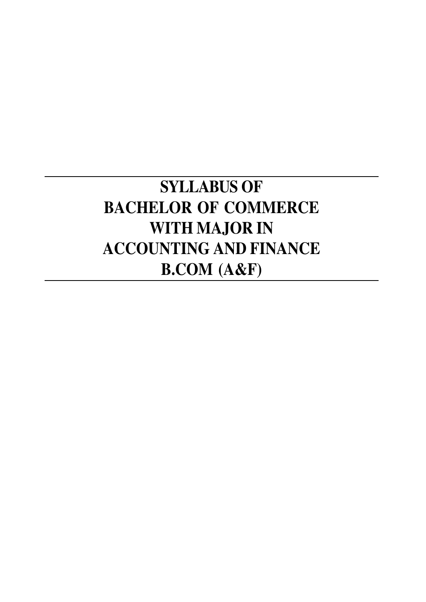# **SYLLABUS OF BACHELOR OF COMMERCE WITH MAJOR IN ACCOUNTING AND FINANCE B.COM (A&F)**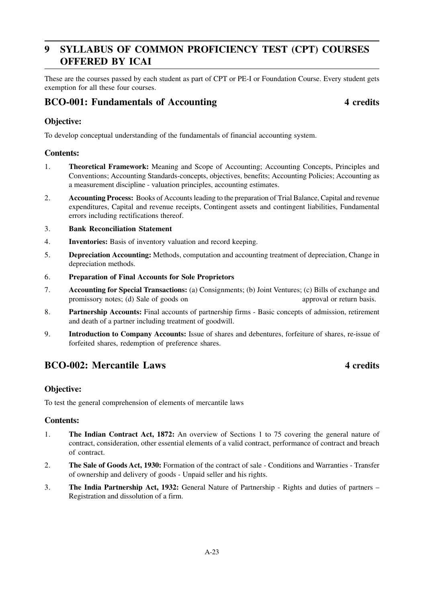# **9 SYLLABUS OF COMMON PROFICIENCY TEST (CPT) COURSES OFFERED BY ICAI**

These are the courses passed by each student as part of CPT or PE-I or Foundation Course. Every student gets exemption for all these four courses.

# **BCO-001: Fundamentals of Accounting 4 credits**

# **Objective:**

To develop conceptual understanding of the fundamentals of financial accounting system.

### **Contents:**

- 1. **Theoretical Framework:** Meaning and Scope of Accounting; Accounting Concepts, Principles and Conventions; Accounting Standards-concepts, objectives, benefits; Accounting Policies; Accounting as a measurement discipline - valuation principles, accounting estimates.
- 2. **Accounting Process:** Books of Accounts leading to the preparation of Trial Balance, Capital and revenue expenditures, Capital and revenue receipts, Contingent assets and contingent liabilities, Fundamental errors including rectifications thereof.

### 3. **Bank Reconciliation Statement**

- 4. **Inventories:** Basis of inventory valuation and record keeping.
- 5. **Depreciation Accounting:** Methods, computation and accounting treatment of depreciation, Change in depreciation methods.
- 6. **Preparation of Final Accounts for Sole Proprietors**
- 7. **Accounting for Special Transactions:** (a) Consignments; (b) Joint Ventures; (c) Bills of exchange and promissory notes; (d) Sale of goods on approval or return basis.
- 8. **Partnership Accounts:** Final accounts of partnership firms Basic concepts of admission, retirement and death of a partner including treatment of goodwill.
- 9. **Introduction to Company Accounts:** Issue of shares and debentures, forfeiture of shares, re-issue of forfeited shares, redemption of preference shares.

# **BCO-002:** Mercantile Laws 4 credits

# **Objective:**

To test the general comprehension of elements of mercantile laws

### **Contents:**

- 1. **The Indian Contract Act, 1872:** An overview of Sections 1 to 75 covering the general nature of contract, consideration, other essential elements of a valid contract, performance of contract and breach of contract.
- 2. **The Sale of Goods Act, 1930:** Formation of the contract of sale Conditions and Warranties Transfer of ownership and delivery of goods - Unpaid seller and his rights.
- 3. **The India Partnership Act, 1932:** General Nature of Partnership Rights and duties of partners Registration and dissolution of a firm.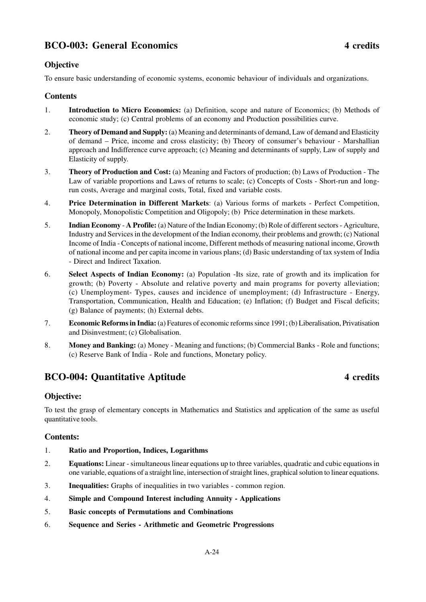# **BCO-003: General Economics 4 credits**

# **Objective**

To ensure basic understanding of economic systems, economic behaviour of individuals and organizations.

# **Contents**

- 1. **Introduction to Micro Economics:** (a) Definition, scope and nature of Economics; (b) Methods of economic study; (c) Central problems of an economy and Production possibilities curve.
- 2. **Theory of Demand and Supply:** (a) Meaning and determinants of demand, Law of demand and Elasticity of demand – Price, income and cross elasticity; (b) Theory of consumer's behaviour - Marshallian approach and Indifference curve approach; (c) Meaning and determinants of supply, Law of supply and Elasticity of supply.
- 3. **Theory of Production and Cost:** (a) Meaning and Factors of production; (b) Laws of Production The Law of variable proportions and Laws of returns to scale; (c) Concepts of Costs - Short-run and longrun costs, Average and marginal costs, Total, fixed and variable costs.
- 4. **Price Determination in Different Markets**: (a) Various forms of markets Perfect Competition, Monopoly, Monopolistic Competition and Oligopoly; (b) Price determination in these markets.
- 5. **Indian Economy A Profile:** (a) Nature of the Indian Economy; (b) Role of different sectors Agriculture, Industry and Services in the development of the Indian economy, their problems and growth; (c) National Income of India - Concepts of national income, Different methods of measuring national income, Growth of national income and per capita income in various plans; (d) Basic understanding of tax system of India - Direct and Indirect Taxation.
- 6. **Select Aspects of Indian Economy:** (a) Population -Its size, rate of growth and its implication for growth; (b) Poverty - Absolute and relative poverty and main programs for poverty alleviation; (c) Unemployment- Types, causes and incidence of unemployment; (d) Infrastructure - Energy, Transportation, Communication, Health and Education; (e) Inflation; (f) Budget and Fiscal deficits; (g) Balance of payments; (h) External debts.
- 7. **Economic Reforms in India:** (a) Features of economic reforms since 1991; (b) Liberalisation, Privatisation and Disinvestment; (c) Globalisation.
- 8. **Money and Banking:** (a) Money Meaning and functions; (b) Commercial Banks Role and functions; (c) Reserve Bank of India - Role and functions, Monetary policy.

# **BCO-004: Quantitative Aptitude 4 credits**

# **Objective:**

To test the grasp of elementary concepts in Mathematics and Statistics and application of the same as useful quantitative tools.

# **Contents:**

- 1. **Ratio and Proportion, Indices, Logarithms**
- 2. **Equations:** Linear simultaneous linear equations up to three variables, quadratic and cubic equations in one variable, equations of a straight line, intersection of straight lines, graphical solution to linear equations.
- 3. **Inequalities:** Graphs of inequalities in two variables common region.
- 4. **Simple and Compound Interest including Annuity Applications**
- 5. **Basic concepts of Permutations and Combinations**
- 6. **Sequence and Series Arithmetic and Geometric Progressions**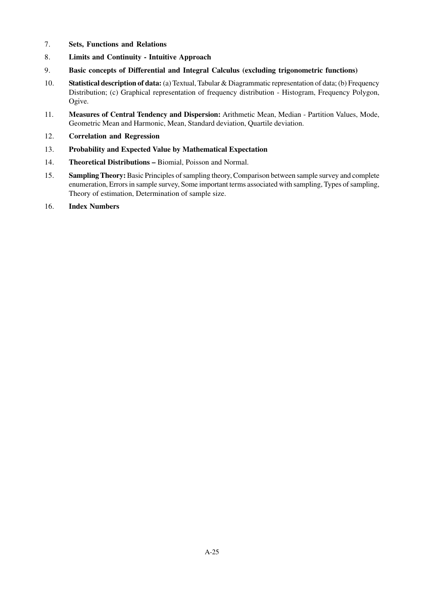- 7. **Sets, Functions and Relations**
- 8. **Limits and Continuity Intuitive Approach**
- 9. **Basic concepts of Differential and Integral Calculus (excluding trigonometric functions)**
- 10. **Statistical description of data:** (a) Textual, Tabular & Diagrammatic representation of data; (b) Frequency Distribution; (c) Graphical representation of frequency distribution - Histogram, Frequency Polygon, Ogive.
- 11. **Measures of Central Tendency and Dispersion:** Arithmetic Mean, Median Partition Values, Mode, Geometric Mean and Harmonic, Mean, Standard deviation, Quartile deviation.
- 12. **Correlation and Regression**
- 13. **Probability and Expected Value by Mathematical Expectation**
- 14. **Theoretical Distributions** Biomial, Poisson and Normal.
- 15. **Sampling Theory:** Basic Principles of sampling theory, Comparison between sample survey and complete enumeration, Errors in sample survey, Some important terms associated with sampling, Types of sampling, Theory of estimation, Determination of sample size.
- 16. **Index Numbers**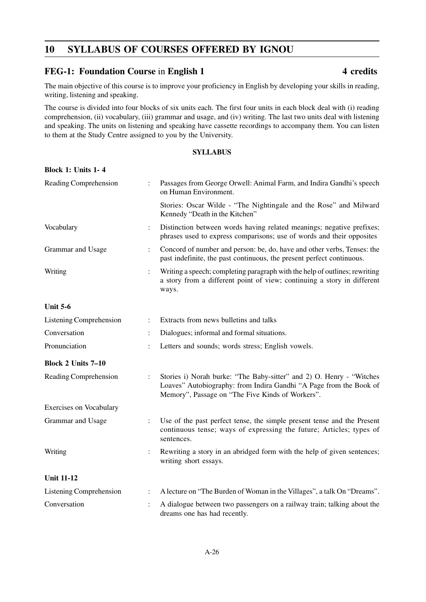# **10 SYLLABUS OF COURSES OFFERED BY IGNOU**

# FEG-1: Foundation Course in English 1 4 credits

The main objective of this course is to improve your proficiency in English by developing your skills in reading, writing, listening and speaking.

The course is divided into four blocks of six units each. The first four units in each block deal with (i) reading comprehension, (ii) vocabulary, (iii) grammar and usage, and (iv) writing. The last two units deal with listening and speaking. The units on listening and speaking have cassette recordings to accompany them. You can listen to them at the Study Centre assigned to you by the University.

### **SYLLABUS**

### **Block 1: Units 1- 4**

| Reading Comprehension          |                | Passages from George Orwell: Animal Farm, and Indira Gandhi's speech<br>on Human Environment.                                                                                                  |
|--------------------------------|----------------|------------------------------------------------------------------------------------------------------------------------------------------------------------------------------------------------|
|                                |                | Stories: Oscar Wilde - "The Nightingale and the Rose" and Milward<br>Kennedy "Death in the Kitchen"                                                                                            |
| Vocabulary                     | $\ddot{\cdot}$ | Distinction between words having related meanings; negative prefixes;<br>phrases used to express comparisons; use of words and their opposites                                                 |
| Grammar and Usage              |                | Concord of number and person: be, do, have and other verbs, Tenses: the<br>past indefinite, the past continuous, the present perfect continuous.                                               |
| Writing                        |                | Writing a speech; completing paragraph with the help of outlines; rewriting<br>a story from a different point of view; continuing a story in different<br>ways.                                |
| <b>Unit 5-6</b>                |                |                                                                                                                                                                                                |
| Listening Comprehension        | $\ddot{\cdot}$ | Extracts from news bulletins and talks                                                                                                                                                         |
| Conversation                   |                | Dialogues; informal and formal situations.                                                                                                                                                     |
| Pronunciation                  |                | Letters and sounds; words stress; English vowels.                                                                                                                                              |
| <b>Block 2 Units 7-10</b>      |                |                                                                                                                                                                                                |
| Reading Comprehension          |                | Stories i) Norah burke: "The Baby-sitter" and 2) O. Henry - "Witches<br>Loaves" Autobiography: from Indira Gandhi "A Page from the Book of<br>Memory", Passage on "The Five Kinds of Workers". |
| <b>Exercises on Vocabulary</b> |                |                                                                                                                                                                                                |
| Grammar and Usage              |                | Use of the past perfect tense, the simple present tense and the Present<br>continuous tense; ways of expressing the future; Articles; types of<br>sentences.                                   |
| Writing                        |                | Rewriting a story in an abridged form with the help of given sentences;<br>writing short essays.                                                                                               |
| <b>Unit 11-12</b>              |                |                                                                                                                                                                                                |
| <b>Listening Comprehension</b> |                | A lecture on "The Burden of Woman in the Villages", a talk On "Dreams".                                                                                                                        |
| Conversation                   |                | A dialogue between two passengers on a railway train; talking about the<br>dreams one has had recently.                                                                                        |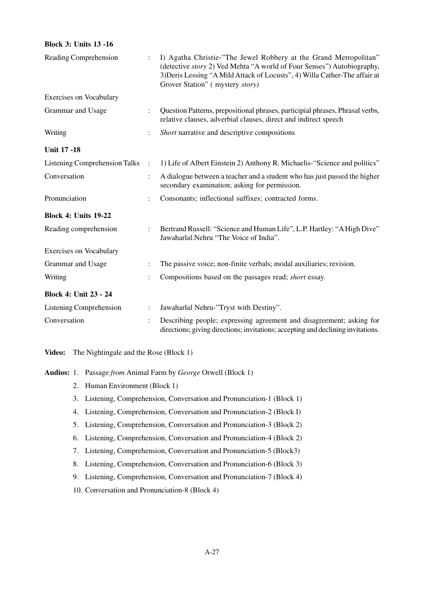### **Block 3: Units 13 -16**

| Reading Comprehension                |                | I) Agatha Christie-"The Jewel Robbery at the Grand Metropolitan"<br>(detective <i>story</i> 2) Ved Mehta "A world of Four Senses") Autobiography,<br>3) Deris Lessing "A Mild Attack of Locusts", 4) Willa Cather-The affair at<br>Grover Station" (mystery story) |
|--------------------------------------|----------------|--------------------------------------------------------------------------------------------------------------------------------------------------------------------------------------------------------------------------------------------------------------------|
| <b>Exercises on Vocabulary</b>       |                |                                                                                                                                                                                                                                                                    |
| Grammar and Usage                    |                | Question Patterns, prepositional phrases, participial phrases, Phrasal verbs,<br>relative clauses, adverbial clauses, direct and indirect speech                                                                                                                   |
| Writing                              |                | Short narrative and descriptive compositions                                                                                                                                                                                                                       |
| <b>Unit 17 -18</b>                   |                |                                                                                                                                                                                                                                                                    |
| <b>Listening Comprehension Talks</b> | $\ddot{\cdot}$ | 1) Life of Albert Einstein 2) Anthony R. Michaelis-"Science and politics"                                                                                                                                                                                          |
| Conversation                         | $\ddot{\cdot}$ | A dialogue between a teacher and a student who has just passed the higher<br>secondary examination; asking for permission.                                                                                                                                         |
| Pronunciation                        |                | Consonants; inflectional suffixes; contracted forms.                                                                                                                                                                                                               |
| <b>Block 4: Units 19-22</b>          |                |                                                                                                                                                                                                                                                                    |
| Reading comprehension                |                | Bertrand Russell: "Science and Human Life", L.P. Hartley: "A High Dive"<br>Jawaharlal.Nehru "The Voice of India".                                                                                                                                                  |
| <b>Exercises on Vocabulary</b>       |                |                                                                                                                                                                                                                                                                    |
| Grammar and Usage                    |                | The passive voice; non-finite verbals; modal auxiliaries; revision.                                                                                                                                                                                                |
| Writing                              |                | Compositions based on the passages read; short essay.                                                                                                                                                                                                              |
| <b>Block 4: Unit 23 - 24</b>         |                |                                                                                                                                                                                                                                                                    |
| <b>Listening Comprehension</b>       |                | Jawaharlal Nehru-"Tryst with Destiny".                                                                                                                                                                                                                             |
| Conversation                         |                | Describing people; expressing agreement and disagreement; asking for<br>directions; giving directions; invitations; accepting and declining invitations.                                                                                                           |

**Video:** The Nightingale and the Rose (Block 1)

**Audios:** 1. Passage *from* Animal Farm by *George* Orwell (Block 1)

- 2. Human Environment (Block 1)
- 3. Listening, Comprehension, Conversation and Pronunciation-1 (Block 1)
- 4. Listening, Comprehension, Conversation and Pronunciation-2 (Block I)
- 5. Listening, Comprehension, Conversation and Pronunciation-3 (Block 2)
- 6. Listening, Comprehension, Conversation and Pronunciation-4 (Block 2)
- 7. Listening, Comprehension, Conversation and Pronunciation-5 (Block3)
- 8. Listening, Comprehension, Conversation and Pronunciation-6 (Block 3)
- 9. Listening, Comprehension, Conversation and Pronunciation-7 (Block 4)
- 10. Conversation and Pronunciation-8 (Block 4)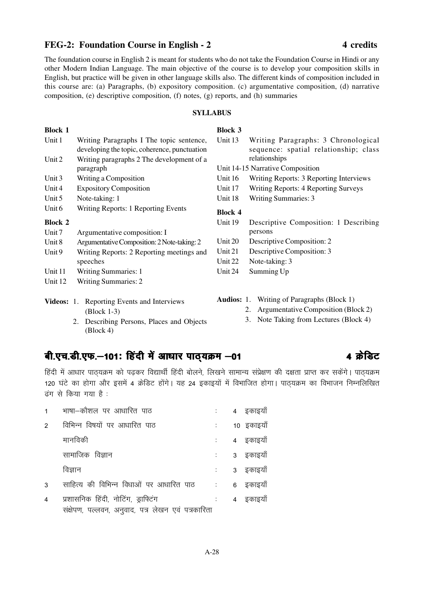# FEG-2: Foundation Course in English - 2 4 credits

The foundation course in English 2 is meant for students who do not take the Foundation Course in Hindi or any other Modern Indian Language. The main objective of the course is to develop your composition skills in English, but practice will be given in other language skills also. The different kinds of composition included in this course are: (a) Paragraphs, (b) expository composition. (c) argumentative composition, (d) narrative composition, (e) descriptive composition, (f) notes, (g) reports, and (h) summaries

### **SYLLABUS**

| <b>Block 1</b> |                                                                                          | <b>Block 3</b>    |                                                                              |
|----------------|------------------------------------------------------------------------------------------|-------------------|------------------------------------------------------------------------------|
| Unit 1         | Writing Paragraphs I The topic sentence,<br>developing the topic, coherence, punctuation | Unit 13           | Writing Paragraphs: 3 Chronological<br>sequence: spatial relationship; class |
| Unit 2         | Writing paragraphs 2 The development of a                                                |                   | relationships                                                                |
|                | paragraph                                                                                |                   | Unit 14-15 Narrative Composition                                             |
| Unit 3         | Writing a Composition                                                                    | Unit 16           | Writing Reports: 3 Reporting Interviews                                      |
| Unit 4         | <b>Expository Composition</b>                                                            | Unit 17           | Writing Reports: 4 Reporting Surveys                                         |
| Unit 5         | Note-taking: 1                                                                           | Unit 18           | <b>Writing Summaries: 3</b>                                                  |
| Unit 6         | Writing Reports: 1 Reporting Events                                                      | <b>Block 4</b>    |                                                                              |
| <b>Block 2</b> |                                                                                          | Unit 19           | Descriptive Composition: 1 Describing                                        |
| Unit 7         | Argumentative composition: I                                                             |                   | persons                                                                      |
| Unit 8         | Argumentative Composition: 2 Note-taking: 2                                              | Unit 20           | Descriptive Composition: 2                                                   |
| Unit 9         | Writing Reports: 2 Reporting meetings and                                                | Unit 21           | Descriptive Composition: 3                                                   |
|                | speeches                                                                                 | Unit 22           | Note-taking: 3                                                               |
| Unit 11        | <b>Writing Summaries: 1</b>                                                              | Unit 24           | Summing Up                                                                   |
| Unit 12        | <b>Writing Summaries: 2</b>                                                              |                   |                                                                              |
|                | Videos: 1. Reporting Events and Interviews                                               | <b>Audios:</b> 1. | Writing of Paragraphs (Block 1)                                              |
|                | (Block 1-3)                                                                              |                   | 2. Argumentative Composition (Block 2)                                       |

2. Describing Persons, Places and Objects (Block 4)

# वी.एच.डी.एफ.-101: हिंदी में आधार पाठ्**यक्रम -01** 201 201 201 4 क्रेडिट

हिंदी में आधार पाठ्यक्रम को पढकर विद्यार्थी हिंदी बोलने, लिखने सामान्य संप्रेक्षण की दक्षता प्राप्त कर सकेंगे। पाठ्यक्रम 120 घंटे का होगा और इसमें 4 क्रेडिट होंगे। यह 24 इकाइयों में विभाजित होगा। पाठ्यक्रम का विभाजन निम्नलिखित  $\vec{s}$ ग से किया गया है:

|                | भाषा—कौशल पर आधारित पाठ                                      |                          | 4 इकाइयाँ  |
|----------------|--------------------------------------------------------------|--------------------------|------------|
| $\mathfrak{p}$ | विभिन्न विषयों पर आधारित पाठ                                 |                          | 10 इकाइयाँ |
|                | मानविकी                                                      |                          | 4 इकाइयाँ  |
|                | सामाजिक विज्ञान                                              |                          | 3 इकाइयाँ  |
|                | विज्ञान                                                      |                          | 3 इकाइयाँ  |
| 3              | साहित्य की विभिन्न विधाओं पर आधारित पाठ वाल संसाह के इकाइयाँ |                          |            |
| $\overline{4}$ | प्रशासनिक हिंदी, नोटिंग, ड्राफ्टिंग                          | $\mathcal{L}_{\rm{max}}$ | 4 इकाइयाँ  |
|                | संक्षेपण, पल्लवन, अनुवाद, पत्र लेखन एवं पत्रकारिता           |                          |            |

3. Note Taking from Lectures (Block 4)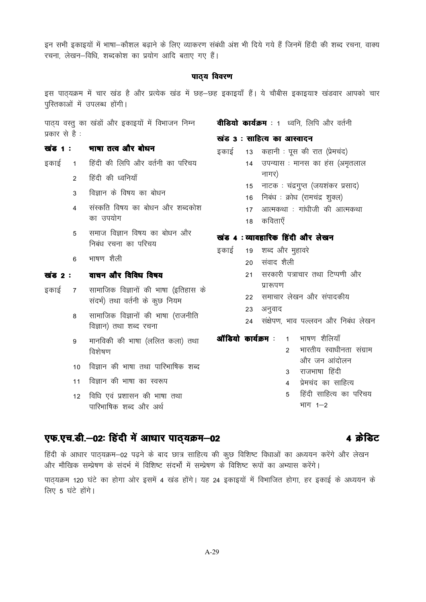इन सभी इकाइयों में भाषा—कौशल बढाने के लिए व्याकरण संबंधी अंश भी दिये गये हैं जिनमें हिंदी की शब्द रचना, वाक्य रचना, लेखन-विधि, शब्दकोश का प्रयोग आदि बताए गए हैं।

### पाठ्य विवरण

इस पाठयक्रम में चार खंड है और प्रत्येक खंड में छह–छह इकाइयाँ हैं। ये चौबीस इकाइयाश खंडवार आपको चार परितकाओं में उपलब्ध होंगी।

पाठ्य वस्तू का खंडों और इकाइयों में विभाजन निम्न प्रकार से है :

### खंड 1 : भाषा तत्व और बोधन

- इकाई 1 हिंदी की लिपि और वर्तनी का परिचय
	- 2 हिंदी की ध्वनियाँ
	- $3$  विज्ञान के विषय का बोधन
	- 4 संस्कति विषय का बोधन और शब्दकोश का उपयोग
	- 5 समाज विज्ञान विषय का बोधन और निबंध रचना का परिचय
	- 6 भाषण शैली

### खंड 2 : वाचन और विविध विषय

- इकाई 7 सामाजिक विज्ञानों की भाषा (इतिहास के संदर्भ) तथा वर्तनी के कुछ नियम
	- 8 सामाजिक विज्ञानों की भाषा (राजनीति विज्ञान) तथा शब्द रचना
	- 9 मानविकी की भाषा (ललित कला) तथा विशेषण
	- 10 विज्ञान की भाषा तथा पारिभाषिक शब्द
	- 11 विज्ञान की भाषा का स्वरूप
	- 12 विधि एवं प्रशासन की भाषा तथा पारिभाषिक शब्द और अर्थ

# **वीडियो कार्यक्रम** : 1 ध्वनि, लिपि और वर्तनी

### खंड 3 : साहित्य का आस्वादन

- इकाई 13 कहानी : पूस की रात (प्रेमचंद)
	- 14 उपन्यास : मानस का हंस (अमृतलाल नागर)
		- 15 नाटक: चंद्रगुप्त (जयशंकर प्रसाद)
		- 16 निबंध: क्रोध (रामचंद्र शुक्ल)
		- 17 आत्मकथा : गांधीजी की आत्मकथा
		- 18 कविताएँ

### खंड 4 : व्यावहारिक हिंदी और लेखन

- इकाई 19 शब्द और महावरे
	- 20 संवाद शैली
	- 21 सरकारी पत्राचार तथा टिप्पणी और प्रारूपण
	- 22 समाचार लेखन और संपादकीय
	- 23 अनुवाद
	- 24 संक्षेपण भाव पल्लवन और निबंध लेखन
- **ऑडियो कार्यक्रम** : 1 भाषण शैलियाँ
	- 2 भारतीय स्वाधीनता संग्राम और जन आंदोलन
	- 3 राजभाषा हिंदी
	- 4 प्रेमचंद का साहित्य
	- 5 हिंदी साहित्य का परिचय भाग  $1 - 2$

# एफ.एच.डी.-02: हिंदी में आधार पाठ्यक्रम-02 विकास को बिट

हिंदी के आधार पाठ्यक्रम-02 पढ़ने के बाद छात्र साहित्य की कुछ विशिष्ट विधाओं का अध्ययन करेंगे और लेखन ओर मौखिक सम्प्रेषण के संदर्भ में विशिष्ट संदर्भों में सम्प्रेषण के विशिष्ट रूपों का अभ्यास करेंगे।

पाठ्यक्रम 120 घंटे का होगा ओर इसमें 4 खंड होंगे। यह 24 इकाइयों में विभाजित होगा, हर इकाई के अध्ययन के लिए 5 घंटे होंगे।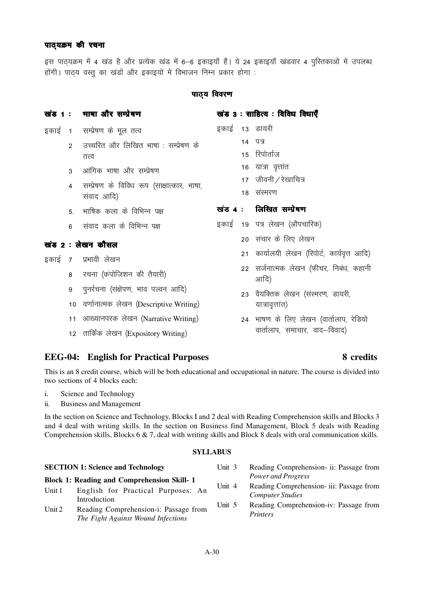### पाठयक्रम की रचना

5स पाठयक्रम में 4 खंड है और प्रत्येक खंड में 6–6 इकाइयाँ हैं। ये 24 इकाइयाँ खंडवार 4 परितकाओं में उपलब्ध होंगी। पाठय वस्त का खंडों और इकाइयों में विभाजन निम्न प्रकार होगा :

### पाठ्य विवरण

# खंड 1 : भाषा और सम्प्रेषण

- इकाई 1 सम्प्रेषण के मूल तत्व
	- 2 जच्चरित और लिखित भाषा : सम्प्रेषण के तत्व
	- 3 आंगिक भाषा और सम्प्रेषण
	- 4 सम्प्रेषण के विविध रूप (साक्षात्कार, भाषा, संवाद आदि)
	- 5 भाषिक कला के विभिन्न पक्ष
	- 6 संवाद कला के विभिन्न पक्ष

# खंड  $2 : \vec{0}$ खन कौसल

- हकाई 7 प्रभावी लेखन
	- 8 रचना (कंपोजिशन की तैयारी)
	- 9 पुनर्रचना (संक्षेपण, भाव पल्वन आदि)
	- 10 वर्णानात्मक लेखन (Descriptive Writing)
	- 11 आख्यानपरक लेखन (Narrative Writing)
	- 12 तार्किंक लेखन (Expository Writing)

# **EEG-04: English for Practical Purposes 8 credits**

This is an 8 credit course, which will be both educational and occupational in nature. The course is divided into two sections of 4 blocks each:

- i. Science and Technology
- ii. Business and Management

In the section on Science and Technology, Blocks I and 2 deal with Reading Comprehension skills and Blocks 3 and 4 deal with writing skills. In the section on Business find Management, Block 5 deals with Reading Comprehension skills, Blocks 6 & 7, deal with writing skills and Block 8 deals with oral communication skills.

### **SYLLABUS**

| <b>SECTION 1: Science and Technology</b>                                                                                                                | Unit $3$         | Reading Comprehension- ii: Passage from                                                                                   |
|---------------------------------------------------------------------------------------------------------------------------------------------------------|------------------|---------------------------------------------------------------------------------------------------------------------------|
| <b>Block 1: Reading and Comprehension Skill-1</b>                                                                                                       |                  | Power and Progress                                                                                                        |
| English for Practical Purposes: An<br>Unit 1<br>Introduction<br>Reading Comprehension-i: Passage from<br>Unit $2$<br>The Fight Against Wound Infections | Unit 4<br>Unit 5 | Reading Comprehension- iii: Passage from<br>Computer Studies<br>Reading Comprehension-iv: Passage from<br><i>Printers</i> |

# खंड  $3:$  साहित्य: विविध विधाएँ

- - - 15 रिपोर्ताज
		- 16 यात्रा वृत्तांत
		- $17 \overline{$  जीवनी  $\overline{}$  रेखाचित्र
		- 18 संस्मरण

### खंड 4 : लिखित सम्पेषण

- इकाई 19 पत्र लेखन (औपचारिक)
	- 20 संचार के लिए लेखन
		- 21 कार्यालयी लेखन (रिपोर्ट, कार्यवृत्त आदि)
		- 22 सर्जनात्मक लेखन (फीचर, निबंध, कहानी आदि)
		- 23 वैयक्तिक लेखन (संस्मरण, डायरी, यात्रावृत्तांत)
	- 24 भाषण के लिए लेखन (वार्तालाप, रेडियो वार्तालाप, समाचार, वाद–विवाद)

- इकाई 13 डायरी
	- $14$  पत्र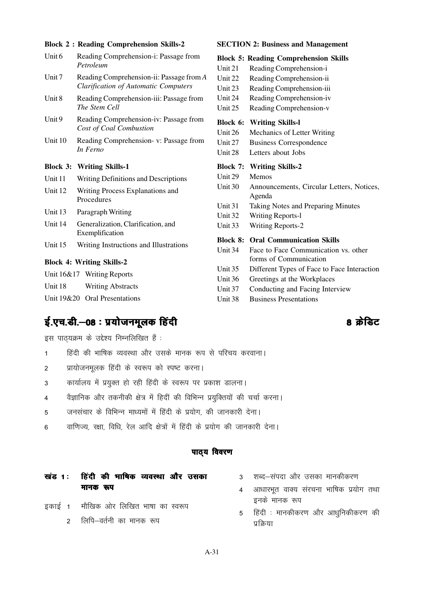### **Block 2 : Reading Comprehension Skills-2**

| Unit 6 | Reading Comprehension-i: Passage from |
|--------|---------------------------------------|
|        | Petroleum                             |
|        |                                       |

- Unit 7 Reading Comprehension-ii: Passage from *A Clarification of Automatic Computers*
- Unit 8 Reading Comprehension-iii: Passage from *The Stem Cell*
- Unit 9 Reading Comprehension-iv: Passage from *Cost of Coal Combustion*
- Unit 10 Reading Comprehension- v: Passage from *In Ferno*

### **Block 3: Writing Skills-1**

- Unit 11 Writing Definitions and Descriptions
- Unit 12 Writing Process Explanations and Procedures
- Unit 13 Paragraph Writing
- Unit 14 Generalization, Clarification, and Exemplification
- Unit 15 Writing Instructions and Illustrations

### **Block 4: Writing Skills-2**

|         | Unit 16&17 Writing Reports    |
|---------|-------------------------------|
| Unit 18 | <b>Writing Abstracts</b>      |
|         | Unit 19&20 Oral Presentations |

# ई.एच.डी.–08 : प्रयोजनमूलक हिंदी बाल के बाद कर के बाद के अपने स्वास्थ्य के अन्वयंत्र के अन्वयंत्र के अन्वयंत्र

इस पाठ्यक्रम के उद्देश्य निम्नलिखित हैं:

- 1 किंदी की भाषिक व्यवस्था और उसके मानक रूप से परिचय करवाना।
- 2 प्रायोजनमूलक हिंदी के स्वरूप को स्पष्ट करना।
- 3 कार्यालय में प्रयुक्त हो रही हिंदी के स्वरूप पर प्रकाश डालना।
- 4 वैज्ञानिक और तकनीकी क्षेत्र में हिदीं की विभिन्न प्रयुक्तियों की चर्चा करना।
- 5 जनसंचार के विभिन्न माध्यमों में हिंदी के प्रयोग, की जानकारी देना।
- 6 वाणिज्य, रक्षा, विधि, रेल आदि क्षेत्रों में हिंदी के प्रयोग की जानकारी देना।

### पाठय विवरण

# खंड 1: हिंदी की माषिक व्यवस्था और उसका मानक रूप

- हकाई 1 मौखिक ओर लिखित भाषा का स्वरूप
	- 2 लिपि—वर्तनी का मानक रूप

**SECTION 2: Business and Management**

|                 | <b>Block 5: Reading Comprehension Skills</b>        |
|-----------------|-----------------------------------------------------|
| Unit 21         | Reading Comprehension-i                             |
| Unit 22         | Reading Comprehension-ii                            |
| Unit 23         | Reading Comprehension-iii                           |
| Unit 24         | Reading Comprehension-iv                            |
| Unit 25         | Reading Comprehension-v                             |
|                 | <b>Block 6: Writing Skills-1</b>                    |
| Unit 26         | Mechanics of Letter Writing                         |
| Unit 27         | <b>Business Correspondence</b>                      |
| Unit 28         | Letters about Jobs                                  |
| <b>Block 7:</b> | <b>Writing Skills-2</b>                             |
| Unit 29         | Memos                                               |
| Unit 30         | Announcements, Circular Letters, Notices,<br>Agenda |
| Unit 31         |                                                     |
|                 | Taking Notes and Preparing Minutes                  |
| Unit 32         | <b>Writing Reports-1</b>                            |
| Unit 33         | <b>Writing Reports-2</b>                            |
| <b>Block 8:</b> | <b>Oral Communication Skills</b>                    |
| Unit 34         | Face to Face Communication vs. other                |
|                 | forms of Communication                              |
| Unit 35         | Different Types of Face to Face Interaction         |
| Unit 36         | Greetings at the Workplaces                         |
| Unit 37         | Conducting and Facing Interview                     |

Unit 38 Business Presentations

3 शब्द-संपदा और उसका मानकीकरण

- 4 आधारभूत वाक्य संरचना भाषिक प्रयोग तथा इनके मानक रूप
- 5 हिंदी : मानकीकरण और आधुनिकीकरण की प्रक्रिया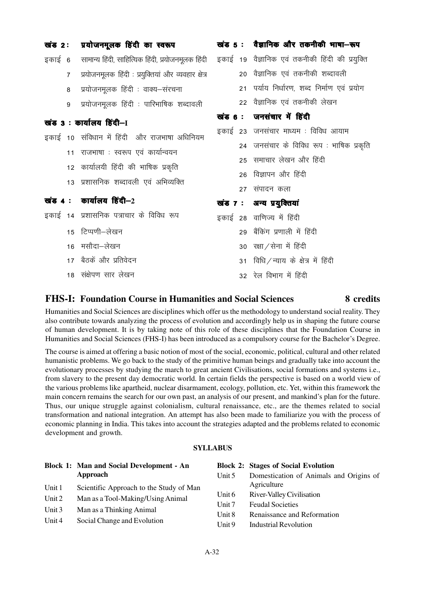| खंड 2: |                | प्रयोजनमूलक हिंदी का स्वरूप                                                                              |  | खंड 5 : वैज्ञानिक और तकनीकी भाषा-रूप        |
|--------|----------------|----------------------------------------------------------------------------------------------------------|--|---------------------------------------------|
|        |                | इकाई 6 सामान्य हिंदी, साहित्यिक हिंदी, प्रयोजनमूलक हिंदी इकाई 19 वैज्ञानिक एवं तकनीकी हिंदी की प्रयुक्ति |  |                                             |
|        | $\overline{7}$ | प्रयोजनमूलक हिंदी : प्रयुक्तियां और व्यवहार क्षेत्र                                                      |  | 20 वैज्ञानिक एवं तकनीकी शब्दावली            |
|        | 8              | प्रयोजनमूलक हिंदी : वाक्य–संरचना                                                                         |  | 21 पर्याय निर्धारण, शब्द निर्माण एवं प्रयोग |
|        | 9              | प्रयोजनमूलक हिंदी : पारिभाषिक शब्दावली                                                                   |  | 22   वैज्ञानिक एवं तकनीकी लेखन              |
|        |                | खंड 3: कार्यालय हिंदी-1                                                                                  |  | खंड 6 : जनसंचार में हिंदी                   |
|        |                | इकाई 10 संविधान में हिंदी और राजभाषा अधिनियम                                                             |  | इकाई 23 जनसंचार माध्यम : विविध आयाम         |
|        |                | 11 राजभाषा : स्वरूप एवं कार्यान्वयन                                                                      |  | 24 जनसंचार के विविध रूप : भाषिक प्रकृति     |
|        |                |                                                                                                          |  | 25 समाचार लेखन और हिंदी                     |
|        |                | 12  कार्यालयी हिंदी की भाषिक प्रकृति                                                                     |  | 26 विज्ञापन और हिंदी                        |
|        |                | 13 प्रशासनिक शब्दावली एवं अभिव्यक्ति                                                                     |  | 27 संपादन कला                               |
|        |                | खंड 4: कार्यालय हिंदी $-2$                                                                               |  | खंड 7 : अन्य प्रयुक्तियां                   |
|        |                | इकाई 14 प्रशासनिक पत्राचार के विविध रूप                                                                  |  | इकाई 28 वाणिज्य में हिंदी                   |
|        |                | 15 टिप्पणी-लेखन                                                                                          |  | 29 बैंकिंग प्रणाली में हिंदी                |
|        |                | 16 मसौदा–लेखन                                                                                            |  | 30 रक्षा/सेना में हिंदी                     |
|        |                | 17 बैठकें और प्रतिवेदन                                                                                   |  | 31 विधि / न्याय के क्षेत्र में हिंदी        |
|        |                | 18 संक्षेपण सार लेखन                                                                                     |  | 32 रेल विभाग में हिंदी                      |

### **FHS-I: Foundation Course in Humanities and Social Sciences 8 credits**

Humanities and Social Sciences are disciplines which offer us the methodology to understand social reality. They also contribute towards analyzing the process of evolution and accordingly help us in shaping the future course of human development. It is by taking note of this role of these disciplines that the Foundation Course in Humanities and Social Sciences (FHS-I) has been introduced as a compulsory course for the Bachelor's Degree.

The course is aimed at offering a basic notion of most of the social, economic, political, cultural and other related humanistic problems. We go back to the study of the primitive human beings and gradually take into account the evolutionary processes by studying the march to great ancient Civilisations, social formations and systems i.e., from slavery to the present day democratic world. In certain fields the perspective is based on a world view of the various problems like apartheid, nuclear disarmament, ecology, pollution, etc. Yet, within this framework the main concern remains the search for our own past, an analysis of our present, and mankind's plan for the future. Thus, our unique struggle against colonialism, cultural renaissance, etc., are the themes related to social transformation and national integration. An attempt has also been made to familiarize you with the process of economic planning in India. This takes into account the strategies adapted and the problems related to economic development and growth.

### **SYLLABUS**

|          | <b>Block 1: Man and Social Development - An</b> |          | <b>Block 2: Stages of Social Evolution</b> |
|----------|-------------------------------------------------|----------|--------------------------------------------|
|          | Approach                                        | Unit 5   | Domestication of Animals and Origins of    |
| Unit 1   | Scientific Approach to the Study of Man         |          | Agriculture                                |
| Unit 2   | Man as a Tool-Making/Using Animal               | Unit 6   | River-Valley Civilisation                  |
|          |                                                 | Unit $7$ | <b>Feudal Societies</b>                    |
| Unit $3$ | Man as a Thinking Animal                        | Unit 8   | Renaissance and Reformation                |
| Unit $4$ | Social Change and Evolution                     | Unit 9   | <b>Industrial Revolution</b>               |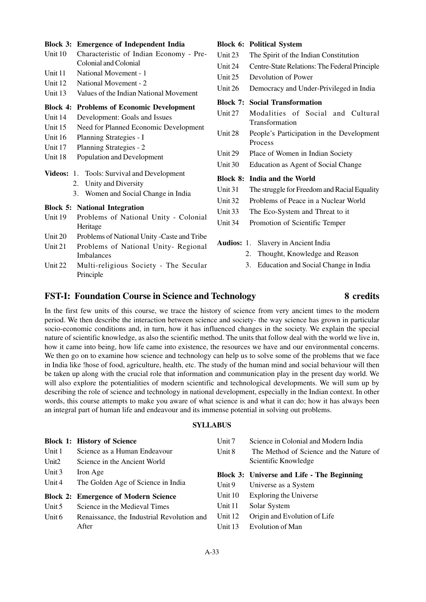### **Block 3: Emergence of Independent India**

- Unit 10 Characteristic of Indian Economy Pre-Colonial and Colonial
- Unit 11 National Movement 1
- Unit 12 National Movement 2
- Unit 13 Values of the Indian National Movement

### **Block 4: Problems of Economic Development**

- Unit 14 Development: Goals and Issues
- Unit 15 Need for Planned Economic Development
- Unit 16 Planning Strategies I
- Unit 17 Planning Strategies 2
- Unit 18 Population and Development
- **Videos:** 1. Tools: Survival and Development
	- 2. Unity and Diversity
		- 3. Women and Social Change in India

### **Block 5: National Integration**

- Unit 19 Problems of National Unity Colonial Heritage
- Unit 20 Problems of National Unity -Caste and Tribe
- Unit 21 Problems of National Unity- Regional Imbalances
- Unit 22 Multi-religious Society The Secular Principle

| Unit 23 The Spirit of the Indian Constitution         |
|-------------------------------------------------------|
| Unit 24 Centre-State Relations: The Federal Principle |
| Unit 25 Devolution of Power                           |
|                                                       |

Unit 26 Democracy and Under-Privileged in India

|  |  |  | <b>Block 7: Social Transformation</b> |  |
|--|--|--|---------------------------------------|--|
|--|--|--|---------------------------------------|--|

**Block 6: Political System**

- Unit 27 Modalities of Social and Cultural Transformation
- Unit 28 People's Participation in the Development Process
- Unit 29 Place of Women in Indian Society
- Unit 30 Education as Agent of Social Change

### **Block 8: India and the World**

- Unit 31 The struggle for Freedom and Racial Equality
- Unit 32 Problems of Peace in a Nuclear World
- Unit 33 The Eco-System and Threat to it
- Unit 34 Promotion of Scientific Temper
- **Audios:** 1. Slavery in Ancient India
	- 2. Thought, Knowledge and Reason
	- 3. Education and Social Change in India

# **FST-I: Foundation Course in Science and Technology 8 credits**

### In the first few units of this course, we trace the history of science from very ancient times to the modern period. We then describe the interaction between science and society- the way science has grown in particular socio-economic conditions and, in turn, how it has influenced changes in the society. We explain the special nature of scientific knowledge, as also the scientific method. The units that follow deal with the world we live in, how it came into being, how life came into existence, the resources we have and our environmental concerns. We then go on to examine how science and technology can help us to solve some of the problems that we face in India like !hose of food, agriculture, health, etc. The study of the human mind and social behaviour will then be taken up along with the crucial role that information and communication play in the present day world. We will also explore the potentialities of modern scientific and technological developments. We will sum up by describing the role of science and technology in national development, especially in the Indian context. In other words, this course attempts to make you aware of what science is and what it can do; how it has always been an integral part of human life and endeavour and its immense potential in solving out problems.

### **SYLLABUS**

|                   | <b>Block 1: History of Science</b>          | Unit $7$  | Science in Colonial and Modern India       |
|-------------------|---------------------------------------------|-----------|--------------------------------------------|
| Unit 1            | Science as a Human Endeavour                | Unit 8    | The Method of Science and the Nature of    |
| Unit <sub>2</sub> | Science in the Ancient World                |           | Scientific Knowledge                       |
| Unit 3            | Iron Age                                    |           | Block 3: Universe and Life - The Beginning |
| Unit 4            | The Golden Age of Science in India          | Unit 9    | Universe as a System                       |
|                   | <b>Block 2: Emergence of Modern Science</b> | Unit 10   | Exploring the Universe                     |
| Unit 5            | Science in the Medieval Times               | Unit 11   | Solar System                               |
| Unit $6$          | Renaissance, the Industrial Revolution and  | Unit 12   | Origin and Evolution of Life               |
|                   | After                                       | Unit $13$ | Evolution of Man                           |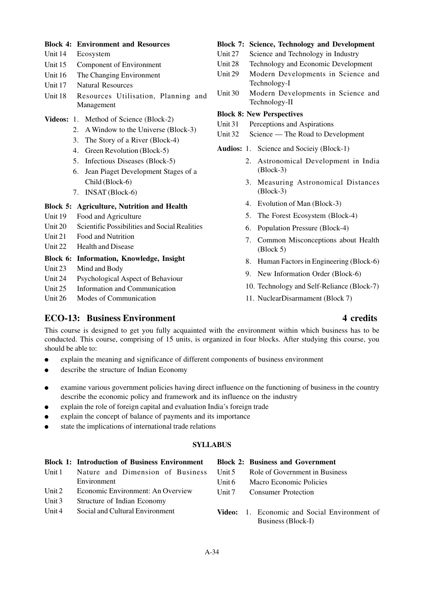### **Block 4: Environment and Resources**

- Unit 14 Ecosystem
- Unit 15 Component of Environment
- Unit 16 The Changing Environment
- Unit 17 Natural Resources
- Unit 18 Resources Utilisation, Planning and Management
- **Videos:** 1. Method of Science (Block-2)
	- 2. A Window to the Universe (Block-3)
	- 3. The Story of a River (Block-4)
	- 4. Green Revolution (Block-5)
	- 5. Infectious Diseases (Block-5)
	- 6. Jean Piaget Development Stages of a Child (Block-6)
	- 7. INSAT (Block-6)

### **Block 5: Agriculture, Nutrition and Health**

- Unit 19 Food and Agriculture
- Unit 20 Scientific Possibilities and Social Realities
- Unit 21 Food and Nutrition
- Unit 22 Health and Disease

### **Block 6: Information, Knowledge, Insight**

- Unit 23 Mind and Body
- Unit 24 Psychological Aspect of Behaviour
- Unit 25 Information and Communication

Unit 26 Modes of Communication

### **Block 7: Science, Technology and Development**

- Unit 27 Science and Technology in Industry
- Unit 28 Technology and Economic Development
- Unit 29 Modern Developments in Science and Technology-I
- Unit 30 Modern Developments in Science and Technology-II

### **Block 8: New Perspectives**

- Unit 31 Perceptions and Aspirations
- Unit 32 Science The Road to Development
- **Audios:** 1. Science and Socieiy (Block-1)
	- 2. Astronomical Development in India (Block-3)
	- 3. Measuring Astronomical Distances (Block-3)
	- 4. Evolution of Man (Block-3)
	- 5. The Forest Ecosystem (Block-4)
	- 6. Population Pressure (Block-4)
	- 7. Common Misconceptions about Health (Block 5)
	- 8. Human Factors in Engineering (Block-6)
	- 9. New Information Order (Block-6)
	- 10. Technology and Self-Reliance (Block-7)
	- 11. NuclearDisarmament (Block 7)

# **ECO-13: Business Environment 4 credits**

This course is designed to get you fully acquainted with the environment within which business has to be conducted. This course, comprising of 15 units, is organized in four blocks. After studying this course, you should be able to:

- explain the meaning and significance of different components of business environment
- describe the structure of Indian Economy
- examine various government policies having direct influence on the functioning of business in the country describe the economic policy and framework and its influence on the industry
- explain the role of foreign capital and evaluation India's foreign trade
- explain the concept of balance of payments and its importance
- state the implications of international trade relations

### **SYLLABUS**

|          | <b>Block 1: Introduction of Business Environment</b> |          | <b>Block 2: Business and Government</b>                                   |
|----------|------------------------------------------------------|----------|---------------------------------------------------------------------------|
| Unit 1   | Nature and Dimension of Business                     | Unit 5   | Role of Government in Business                                            |
|          | Environment                                          | Unit 6   | Macro Economic Policies                                                   |
| Unit $2$ | Economic Environment: An Overview                    | Unit $7$ | <b>Consumer Protection</b>                                                |
| Unit $3$ | Structure of Indian Economy                          |          |                                                                           |
| Unit $4$ | Social and Cultural Environment                      |          | <b>Video:</b> 1. Economic and Social Environment of<br>Business (Block-I) |